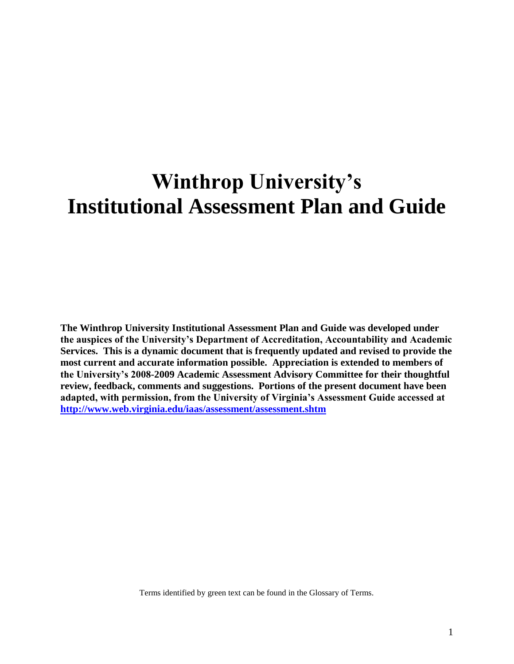# **Winthrop University's Institutional Assessment Plan and Guide**

**The Winthrop University Institutional Assessment Plan and Guide was developed under the auspices of the University's Department of Accreditation, Accountability and Academic Services. This is a dynamic document that is frequently updated and revised to provide the most current and accurate information possible. Appreciation is extended to members of the University's 2008-2009 Academic Assessment Advisory Committee for their thoughtful review, feedback, comments and suggestions. Portions of the present document have been adapted, with permission, from the University of Virginia's Assessment Guide accessed at <http://www.web.virginia.edu/iaas/assessment/assessment.shtm>**

Terms identified by green text can be found in the Glossary of Terms.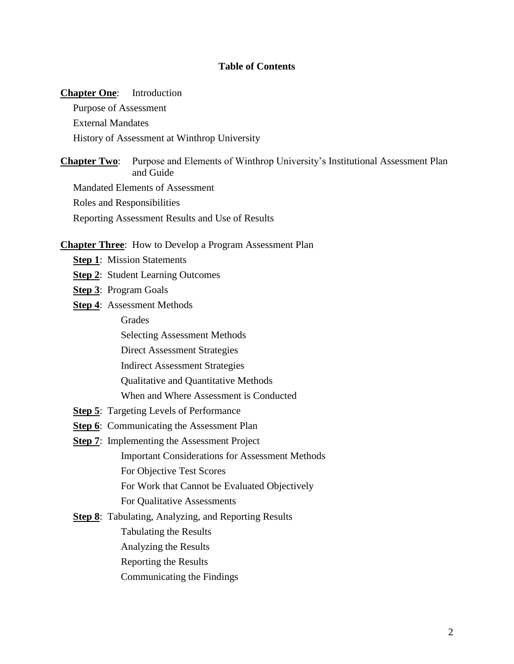#### **Table of Contents**

#### **Chapter One**: Introduction

 Purpose of Assessment External Mandates History of Assessment at Winthrop University

#### **Chapter Two**: Purpose and Elements of Winthrop University's Institutional Assessment Plan and Guide

 Mandated Elements of Assessment Roles and Responsibilities

Reporting Assessment Results and Use of Results

#### **Chapter Three**: How to Develop a Program Assessment Plan

- **Step 1**: Mission Statements
- **Step 2**: Student Learning Outcomes
- **Step 3**: Program Goals
- **Step 4**: Assessment Methods
	- **Grades**
	- Selecting Assessment Methods
	- Direct Assessment Strategies
	- Indirect Assessment Strategies
	- Qualitative and Quantitative Methods
	- When and Where Assessment is Conducted
- **Step 5**: Targeting Levels of Performance
- **Step 6**: Communicating the Assessment Plan
- **Step 7**: Implementing the Assessment Project

Important Considerations for Assessment Methods

- For Objective Test Scores
- For Work that Cannot be Evaluated Objectively
- For Qualitative Assessments
- **Step 8**: Tabulating, Analyzing, and Reporting Results Tabulating the Results Analyzing the Results Reporting the Results Communicating the Findings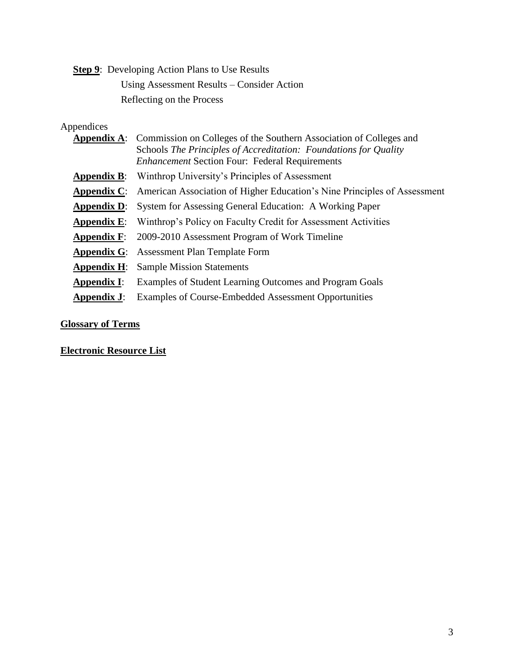# **Step 9**: Developing Action Plans to Use Results Using Assessment Results – Consider Action Reflecting on the Process

# Appendices

|                    | <b>Appendix A:</b> Commission on Colleges of the Southern Association of Colleges and<br>Schools The Principles of Accreditation: Foundations for Quality<br><b>Enhancement Section Four: Federal Requirements</b> |
|--------------------|--------------------------------------------------------------------------------------------------------------------------------------------------------------------------------------------------------------------|
| <b>Appendix B:</b> | Winthrop University's Principles of Assessment                                                                                                                                                                     |
|                    | <b>Appendix C:</b> American Association of Higher Education's Nine Principles of Assessment                                                                                                                        |
| Appendix D:        | System for Assessing General Education: A Working Paper                                                                                                                                                            |
| Appendix $E$ :     | Winthrop's Policy on Faculty Credit for Assessment Activities                                                                                                                                                      |
| <b>Appendix F:</b> | 2009-2010 Assessment Program of Work Timeline                                                                                                                                                                      |
|                    | <b>Appendix G:</b> Assessment Plan Template Form                                                                                                                                                                   |
| <b>Appendix H:</b> | <b>Sample Mission Statements</b>                                                                                                                                                                                   |
| <b>Appendix I:</b> | Examples of Student Learning Outcomes and Program Goals                                                                                                                                                            |
| <b>Appendix J:</b> | Examples of Course-Embedded Assessment Opportunities                                                                                                                                                               |
|                    |                                                                                                                                                                                                                    |

# **Glossary of Terms**

# **Electronic Resource List**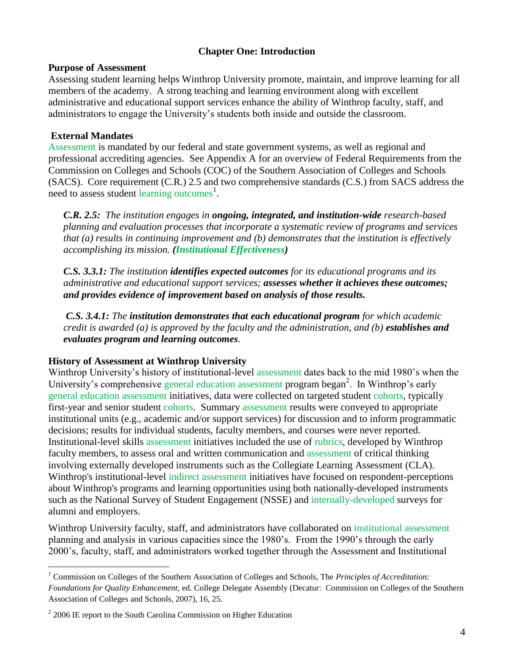## **Chapter One: Introduction**

#### **Purpose of Assessment**

Assessing student learning helps Winthrop University promote, maintain, and improve learning for all members of the academy. A strong teaching and learning environment along with excellent administrative and educational support services enhance the ability of Winthrop faculty, staff, and administrators to engage the University's students both inside and outside the classroom.

## **External Mandates**

 $\overline{a}$ 

Assessment is mandated by our federal and state government systems, as well as regional and professional accrediting agencies. See Appendix A for an overview of Federal Requirements from the Commission on Colleges and Schools (COC) of the Southern Association of Colleges and Schools (SACS). Core requirement (C.R.) 2.5 and two comprehensive standards (C.S.) from SACS address the need to assess student learning outcomes<sup>1</sup>.

*C.R. 2.5: The institution engages in ongoing, integrated, and institution-wide research-based planning and evaluation processes that incorporate a systematic review of programs and services that (a) results in continuing improvement and (b) demonstrates that the institution is effectively accomplishing its mission. (Institutional Effectiveness)*

*C.S. 3.3.1: The institution identifies expected outcomes for its educational programs and its administrative and educational support services; assesses whether it achieves these outcomes; and provides evidence of improvement based on analysis of those results.*

*C.S. 3.4.1: The institution demonstrates that each educational program for which academic credit is awarded (a) is approved by the faculty and the administration, and (b) establishes and evaluates program and learning outcomes*.

## **History of Assessment at Winthrop University**

Winthrop University's history of institutional-level assessment dates back to the mid 1980's when the University's comprehensive general education assessment program began<sup>2</sup>. In Winthrop's early general education assessment initiatives, data were collected on targeted student cohorts, typically first-year and senior student cohorts. Summary assessment results were conveyed to appropriate institutional units (e.g., academic and/or support services) for discussion and to inform programmatic decisions; results for individual students, faculty members, and courses were never reported. Institutional-level skills assessment initiatives included the use of rubrics, developed by Winthrop faculty members, to assess oral and written communication and assessment of critical thinking involving externally developed instruments such as the Collegiate Learning Assessment (CLA). Winthrop's institutional-level indirect assessment initiatives have focused on respondent-perceptions about Winthrop's programs and learning opportunities using both nationally-developed instruments such as the National Survey of Student Engagement (NSSE) and internally-developed surveys for alumni and employers.

Winthrop University faculty, staff, and administrators have collaborated on institutional assessment planning and analysis in various capacities since the 1980's. From the 1990's through the early 2000's, faculty, staff, and administrators worked together through the Assessment and Institutional

<sup>1</sup> Commission on Colleges of the Southern Association of Colleges and Schools, The *Principles of Accreditation: Foundations for Quality Enhancement,* ed. College Delegate Assembly (Decatur: Commission on Colleges of the Southern Association of Colleges and Schools, 2007), 16, 25.

 $2\,2006$  IE report to the South Carolina Commission on Higher Education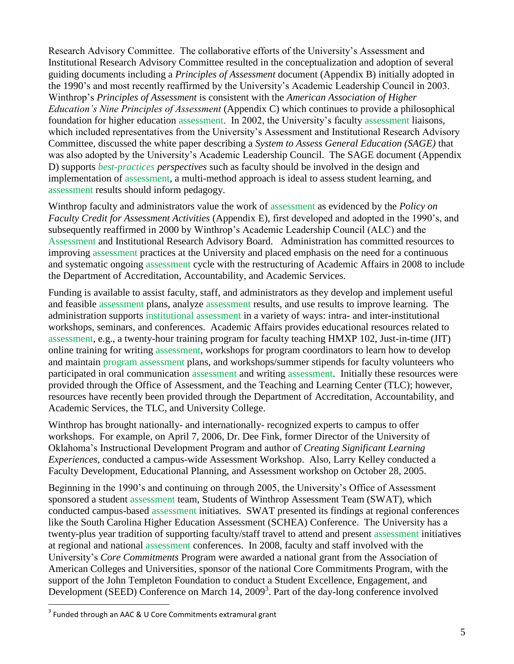Research Advisory Committee. The collaborative efforts of the University's Assessment and Institutional Research Advisory Committee resulted in the conceptualization and adoption of several guiding documents including a *Principles of Assessment* document (Appendix B) initially adopted in the 1990's and most recently reaffirmed by the University's Academic Leadership Council in 2003. Winthrop's *Principles of Assessment* is consistent with the *American Association of Higher Education's Nine Principles of Assessment* (Appendix C) which continues to provide a philosophical foundation for higher education assessment. In 2002, the University's faculty assessment liaisons, which included representatives from the University's Assessment and Institutional Research Advisory Committee, discussed the white paper describing a *System to Assess General Education (SAGE)* that was also adopted by the University's Academic Leadership Council. The SAGE document (Appendix D) supports *best-practices perspectives* such as faculty should be involved in the design and implementation of assessment, a multi-method approach is ideal to assess student learning, and assessment results should inform pedagogy.

Winthrop faculty and administrators value the work of assessment as evidenced by the *Policy on Faculty Credit for Assessment Activities* (Appendix E), first developed and adopted in the 1990's, and subsequently reaffirmed in 2000 by Winthrop's Academic Leadership Council (ALC) and the Assessment and Institutional Research Advisory Board. Administration has committed resources to improving assessment practices at the University and placed emphasis on the need for a continuous and systematic ongoing assessment cycle with the restructuring of Academic Affairs in 2008 to include the Department of Accreditation, Accountability, and Academic Services.

Funding is available to assist faculty, staff, and administrators as they develop and implement useful and feasible assessment plans, analyze assessment results, and use results to improve learning. The administration supports institutional assessment in a variety of ways: intra- and inter-institutional workshops, seminars, and conferences. Academic Affairs provides educational resources related to assessment, e.g., a twenty-hour training program for faculty teaching HMXP 102, Just-in-time (JIT) online training for writing assessment, workshops for program coordinators to learn how to develop and maintain program assessment plans, and workshops/summer stipends for faculty volunteers who participated in oral communication assessment and writing assessment. Initially these resources were provided through the Office of Assessment, and the Teaching and Learning Center (TLC); however, resources have recently been provided through the Department of Accreditation, Accountability, and Academic Services, the TLC, and University College.

Winthrop has brought nationally- and internationally- recognized experts to campus to offer workshops. For example, on April 7, 2006, Dr. Dee Fink, former Director of the University of Oklahoma's Instructional Development Program and author of *Creating Significant Learning Experiences,* conducted a campus-wide Assessment Workshop. Also, Larry Kelley conducted a Faculty Development, Educational Planning, and Assessment workshop on October 28, 2005.

Beginning in the 1990's and continuing on through 2005, the University's Office of Assessment sponsored a student assessment team, Students of Winthrop Assessment Team (SWAT), which conducted campus-based assessment initiatives. SWAT presented its findings at regional conferences like the South Carolina Higher Education Assessment (SCHEA) Conference. The University has a twenty-plus year tradition of supporting faculty/staff travel to attend and present assessment initiatives at regional and national assessment conferences. In 2008, faculty and staff involved with the University's *Core Commitments* Program were awarded a national grant from the Association of American Colleges and Universities, sponsor of the national Core Commitments Program, with the support of the John Templeton Foundation to conduct a Student Excellence, Engagement, and Development (SEED) Conference on March 14, 2009<sup>3</sup>. Part of the day-long conference involved

 $\overline{a}$ 

 $3$  Funded through an AAC & U Core Commitments extramural grant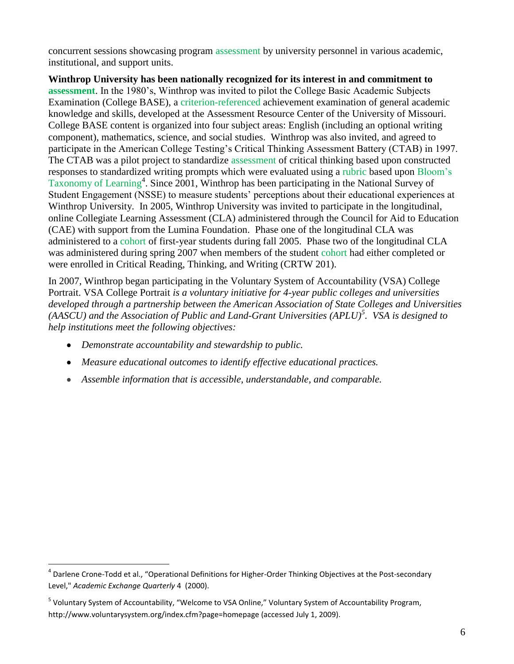concurrent sessions showcasing program assessment by university personnel in various academic, institutional, and support units.

**Winthrop University has been nationally recognized for its interest in and commitment to assessment**. In the 1980's, Winthrop was invited to pilot the College Basic Academic Subjects Examination (College BASE), a criterion-referenced achievement examination of general academic knowledge and skills, developed at the Assessment Resource Center of the University of Missouri. College BASE content is organized into four subject areas: English (including an optional writing component), mathematics, science, and social studies. Winthrop was also invited, and agreed to participate in the American College Testing's Critical Thinking Assessment Battery (CTAB) in 1997. The CTAB was a pilot project to standardize assessment of critical thinking based upon constructed responses to standardized writing prompts which were evaluated using a rubric based upon Bloom's Taxonomy of Learning<sup>4</sup>. Since 2001, Winthrop has been participating in the National Survey of Student Engagement (NSSE) to measure students' perceptions about their educational experiences at Winthrop University. In 2005, Winthrop University was invited to participate in the longitudinal, online Collegiate Learning Assessment (CLA) administered through the Council for Aid to Education (CAE) with support from the Lumina Foundation. Phase one of the longitudinal CLA was administered to a cohort of first-year students during fall 2005. Phase two of the longitudinal CLA was administered during spring 2007 when members of the student cohort had either completed or were enrolled in Critical Reading, Thinking, and Writing (CRTW 201).

In 2007, Winthrop began participating in the Voluntary System of Accountability (VSA) College Portrait. VSA College Portrait *is a voluntary initiative for 4-year public colleges and universities developed through a partnership between the American Association of State Colleges and Universities (AASCU) and the Association of Public and Land-Grant Universities (APLU)<sup>5</sup> . VSA is designed to help institutions meet the following objectives:* 

*Demonstrate accountability and stewardship to public.* 

 $\overline{a}$ 

- *Measure educational outcomes to identify effective educational practices.*
- *Assemble information that is accessible, understandable, and comparable.*

<sup>&</sup>lt;sup>4</sup> Darlene Crone-Todd et al., "Operational Definitions for Higher-Order Thinking Objectives at the Post-secondary Level," *Academic Exchange Quarterly* 4 (2000).

<sup>&</sup>lt;sup>5</sup> Voluntary System of Accountability, "Welcome to VSA Online," Voluntary System of Accountability Program, http://www.voluntarysystem.org/index.cfm?page=homepage (accessed July 1, 2009).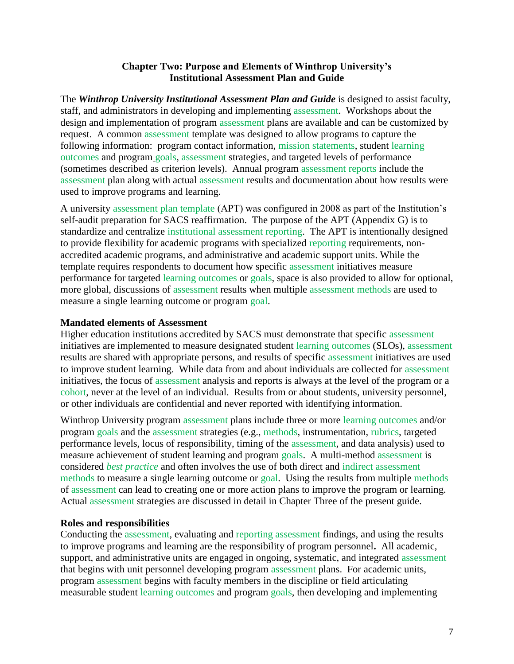#### **Chapter Two: Purpose and Elements of Winthrop University's Institutional Assessment Plan and Guide**

The *Winthrop University Institutional Assessment Plan and Guide* is designed to assist faculty, staff, and administrators in developing and implementing assessment. Workshops about the design and implementation of program assessment plans are available and can be customized by request. A common assessment template was designed to allow programs to capture the following information: program contact information, mission statements, student learning outcomes and program goals, assessment strategies, and targeted levels of performance (sometimes described as criterion levels). Annual program assessment reports include the assessment plan along with actual assessment results and documentation about how results were used to improve programs and learning.

A university assessment plan template (APT) was configured in 2008 as part of the Institution's self-audit preparation for SACS reaffirmation. The purpose of the APT (Appendix G) is to standardize and centralize institutional assessment reporting. The APT is intentionally designed to provide flexibility for academic programs with specialized reporting requirements, nonaccredited academic programs, and administrative and academic support units. While the template requires respondents to document how specific assessment initiatives measure performance for targeted learning outcomes or goals, space is also provided to allow for optional, more global, discussions of assessment results when multiple assessment methods are used to measure a single learning outcome or program goal.

#### **Mandated elements of Assessment**

Higher education institutions accredited by SACS must demonstrate that specific assessment initiatives are implemented to measure designated student learning outcomes (SLOs), assessment results are shared with appropriate persons, and results of specific assessment initiatives are used to improve student learning. While data from and about individuals are collected for assessment initiatives, the focus of assessment analysis and reports is always at the level of the program or a cohort, never at the level of an individual. Results from or about students, university personnel, or other individuals are confidential and never reported with identifying information.

Winthrop University program assessment plans include three or more learning outcomes and/or program goals and the assessment strategies (e.g., methods, instrumentation, rubrics, targeted performance levels, locus of responsibility, timing of the assessment, and data analysis) used to measure achievement of student learning and program goals. A multi-method assessment is considered *best practice* and often involves the use of both direct and indirect assessment methods to measure a single learning outcome or goal. Using the results from multiple methods of assessment can lead to creating one or more action plans to improve the program or learning. Actual assessment strategies are discussed in detail in Chapter Three of the present guide.

## **Roles and responsibilities**

Conducting the assessment, evaluating and reporting assessment findings, and using the results to improve programs and learning are the responsibility of program personnel**.** All academic, support, and administrative units are engaged in ongoing, systematic, and integrated assessment that begins with unit personnel developing program assessment plans. For academic units, program assessment begins with faculty members in the discipline or field articulating measurable student learning outcomes and program goals, then developing and implementing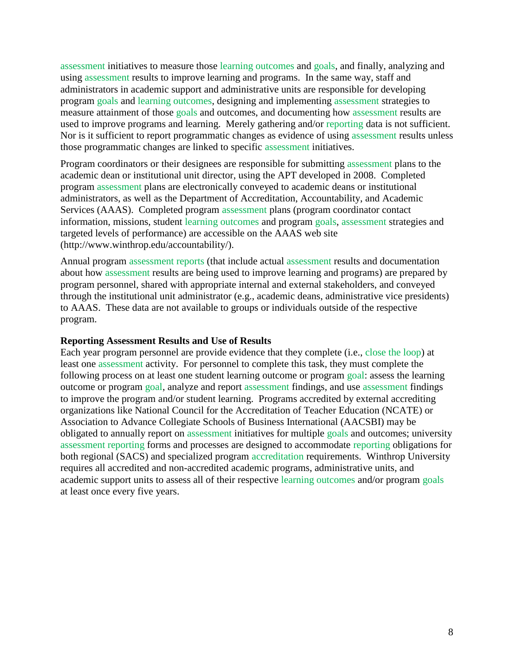assessment initiatives to measure those learning outcomes and goals, and finally, analyzing and using assessment results to improve learning and programs. In the same way, staff and administrators in academic support and administrative units are responsible for developing program goals and learning outcomes, designing and implementing assessment strategies to measure attainment of those goals and outcomes, and documenting how assessment results are used to improve programs and learning. Merely gathering and/or reporting data is not sufficient. Nor is it sufficient to report programmatic changes as evidence of using assessment results unless those programmatic changes are linked to specific assessment initiatives.

Program coordinators or their designees are responsible for submitting assessment plans to the academic dean or institutional unit director, using the APT developed in 2008. Completed program assessment plans are electronically conveyed to academic deans or institutional administrators, as well as the Department of Accreditation, Accountability, and Academic Services (AAAS). Completed program assessment plans (program coordinator contact information, missions, student learning outcomes and program goals, assessment strategies and targeted levels of performance) are accessible on the AAAS web site (http://www.winthrop.edu/accountability/).

Annual program assessment reports (that include actual assessment results and documentation about how assessment results are being used to improve learning and programs) are prepared by program personnel, shared with appropriate internal and external stakeholders, and conveyed through the institutional unit administrator (e.g., academic deans, administrative vice presidents) to AAAS. These data are not available to groups or individuals outside of the respective program.

#### **Reporting Assessment Results and Use of Results**

Each year program personnel are provide evidence that they complete (i.e., close the loop) at least one assessment activity. For personnel to complete this task, they must complete the following process on at least one student learning outcome or program goal: assess the learning outcome or program goal, analyze and report assessment findings, and use assessment findings to improve the program and/or student learning. Programs accredited by external accrediting organizations like National Council for the Accreditation of Teacher Education (NCATE) or Association to Advance Collegiate Schools of Business International (AACSBI) may be obligated to annually report on assessment initiatives for multiple goals and outcomes; university assessment reporting forms and processes are designed to accommodate reporting obligations for both regional (SACS) and specialized program accreditation requirements. Winthrop University requires all accredited and non-accredited academic programs, administrative units, and academic support units to assess all of their respective learning outcomes and/or program goals at least once every five years.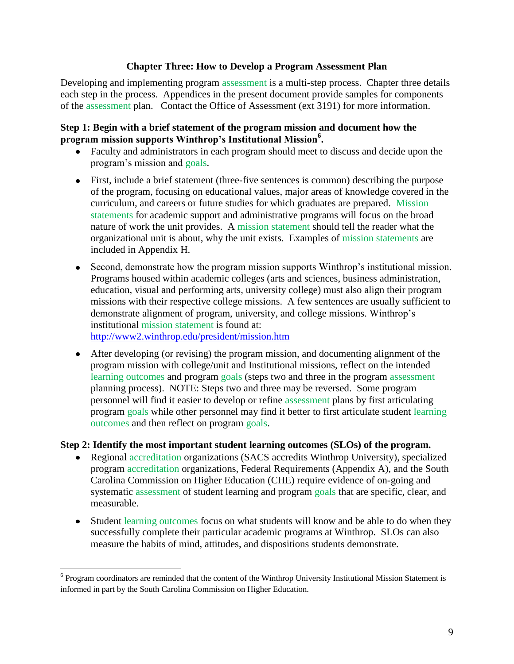#### **Chapter Three: How to Develop a Program Assessment Plan**

Developing and implementing program assessment is a multi-step process. Chapter three details each step in the process. Appendices in the present document provide samples for components of the assessment plan. Contact the Office of Assessment (ext 3191) for more information.

#### **Step 1: Begin with a brief statement of the program mission and document how the program mission supports Winthrop's Institutional Mission<sup>6</sup> .**

- Faculty and administrators in each program should meet to discuss and decide upon the program's mission and goals.
- First, include a brief statement (three-five sentences is common) describing the purpose of the program, focusing on educational values, major areas of knowledge covered in the curriculum, and careers or future studies for which graduates are prepared. Mission statements for academic support and administrative programs will focus on the broad nature of work the unit provides. A mission statement should tell the reader what the organizational unit is about, why the unit exists. Examples of mission statements are included in Appendix H.
- Second, demonstrate how the program mission supports Winthrop's institutional mission. Programs housed within academic colleges (arts and sciences, business administration, education, visual and performing arts, university college) must also align their program missions with their respective college missions. A few sentences are usually sufficient to demonstrate alignment of program, university, and college missions. Winthrop's institutional mission statement is found at: <http://www2.winthrop.edu/president/mission.htm>
- After developing (or revising) the program mission, and documenting alignment of the program mission with college/unit and Institutional missions, reflect on the intended learning outcomes and program goals (steps two and three in the program assessment planning process). NOTE: Steps two and three may be reversed. Some program personnel will find it easier to develop or refine assessment plans by first articulating program goals while other personnel may find it better to first articulate student learning outcomes and then reflect on program goals.

## **Step 2: Identify the most important student learning outcomes (SLOs) of the program.**

- Regional accreditation organizations (SACS accredits Winthrop University), specialized program accreditation organizations, Federal Requirements (Appendix A), and the South Carolina Commission on Higher Education (CHE) require evidence of on-going and systematic assessment of student learning and program goals that are specific, clear, and measurable.
- Student learning outcomes focus on what students will know and be able to do when they successfully complete their particular academic programs at Winthrop. SLOs can also measure the habits of mind, attitudes, and dispositions students demonstrate.

 $\overline{a}$ 

<sup>&</sup>lt;sup>6</sup> Program coordinators are reminded that the content of the Winthrop University Institutional Mission Statement is informed in part by the South Carolina Commission on Higher Education.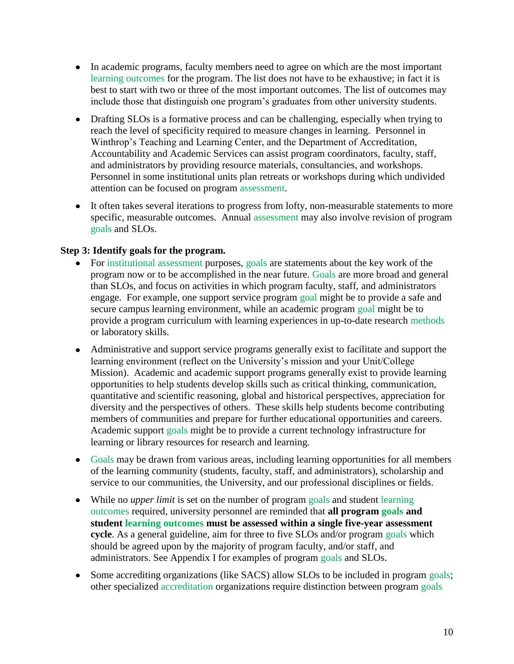- In academic programs, faculty members need to agree on which are the most important learning outcomes for the program. The list does not have to be exhaustive; in fact it is best to start with two or three of the most important outcomes. The list of outcomes may include those that distinguish one program's graduates from other university students.
- Drafting SLOs is a formative process and can be challenging, especially when trying to reach the level of specificity required to measure changes in learning. Personnel in Winthrop's Teaching and Learning Center, and the Department of Accreditation, Accountability and Academic Services can assist program coordinators, faculty, staff, and administrators by providing resource materials, consultancies, and workshops. Personnel in some institutional units plan retreats or workshops during which undivided attention can be focused on program assessment.
- It often takes several iterations to progress from lofty, non-measurable statements to more specific, measurable outcomes. Annual assessment may also involve revision of program goals and SLOs.

## **Step 3: Identify goals for the program.**

- For institutional assessment purposes, goals are statements about the key work of the program now or to be accomplished in the near future. Goals are more broad and general than SLOs, and focus on activities in which program faculty, staff, and administrators engage. For example, one support service program goal might be to provide a safe and secure campus learning environment, while an academic program goal might be to provide a program curriculum with learning experiences in up-to-date research methods or laboratory skills.
- Administrative and support service programs generally exist to facilitate and support the learning environment (reflect on the University's mission and your Unit/College Mission). Academic and academic support programs generally exist to provide learning opportunities to help students develop skills such as critical thinking, communication, quantitative and scientific reasoning, global and historical perspectives, appreciation for diversity and the perspectives of others. These skills help students become contributing members of communities and prepare for further educational opportunities and careers. Academic support goals might be to provide a current technology infrastructure for learning or library resources for research and learning.
- Goals may be drawn from various areas, including learning opportunities for all members of the learning community (students, faculty, staff, and administrators), scholarship and service to our communities, the University, and our professional disciplines or fields.
- While no *upper limit* is set on the number of program goals and student learning outcomes required, university personnel are reminded that **all program goals and student learning outcomes must be assessed within a single five-year assessment cycle**. As a general guideline, aim for three to five SLOs and/or program goals which should be agreed upon by the majority of program faculty, and/or staff, and administrators. See Appendix I for examples of program goals and SLOs.
- Some accrediting organizations (like SACS) allow SLOs to be included in program goals; other specialized accreditation organizations require distinction between program goals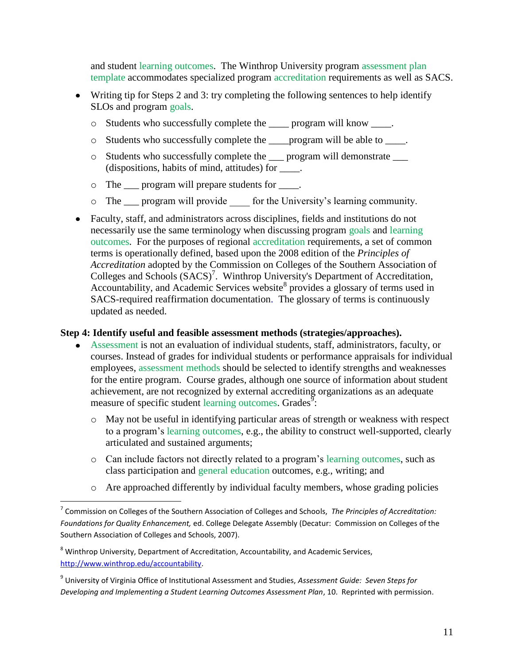and student learning outcomes. The Winthrop University program assessment plan template accommodates specialized program accreditation requirements as well as SACS.

- Writing tip for Steps 2 and 3: try completing the following sentences to help identify SLOs and program goals.
	- o Students who successfully complete the \_\_\_\_ program will know \_\_\_\_.
	- o Students who successfully complete the \_\_\_\_program will be able to \_\_\_\_.
	- o Students who successfully complete the \_\_\_ program will demonstrate \_\_\_ (dispositions, habits of mind, attitudes) for \_\_\_\_.
	- o The \_\_\_ program will prepare students for \_\_\_\_.
	- o The \_\_\_ program will provide \_\_\_\_ for the University's learning community.
- Faculty, staff, and administrators across disciplines, fields and institutions do not necessarily use the same terminology when discussing program goals and learning outcomes. For the purposes of regional accreditation requirements, a set of common terms is operationally defined, based upon the 2008 edition of the *Principles of Accreditation* adopted by the Commission on Colleges of the Southern Association of Colleges and Schools (SACS)<sup>7</sup>. Winthrop University's Department of Accreditation, Accountability, and Academic Services website<sup>8</sup> provides a glossary of terms used in SACS-required reaffirmation documentation. The glossary of terms is continuously updated as needed.

#### **Step 4: Identify useful and feasible assessment methods (strategies/approaches).**

- Assessment is not an evaluation of individual students, staff, administrators, faculty, or courses. Instead of grades for individual students or performance appraisals for individual employees, assessment methods should be selected to identify strengths and weaknesses for the entire program. Course grades, although one source of information about student achievement, are not recognized by external accrediting organizations as an adequate measure of specific student learning outcomes. Grades<sup>9</sup>:
	- o May not be useful in identifying particular areas of strength or weakness with respect to a program's learning outcomes, e.g., the ability to construct well-supported, clearly articulated and sustained arguments;
	- o Can include factors not directly related to a program's learning outcomes, such as class participation and general education outcomes, e.g., writing; and
	- o Are approached differently by individual faculty members, whose grading policies

 $\overline{a}$ 

<sup>7</sup> Commission on Colleges of the Southern Association of Colleges and Schools, *The Principles of Accreditation: Foundations for Quality Enhancement,* ed. College Delegate Assembly (Decatur: Commission on Colleges of the Southern Association of Colleges and Schools, 2007).

<sup>&</sup>lt;sup>8</sup> Winthrop University, Department of Accreditation, Accountability, and Academic Services, [http://www.winthrop.edu/accountability.](http://www.winthrop.edu/accountability)

<sup>9</sup> University of Virginia Office of Institutional Assessment and Studies, *Assessment Guide: Seven Steps for Developing and Implementing a Student Learning Outcomes Assessment Plan*, 10. Reprinted with permission.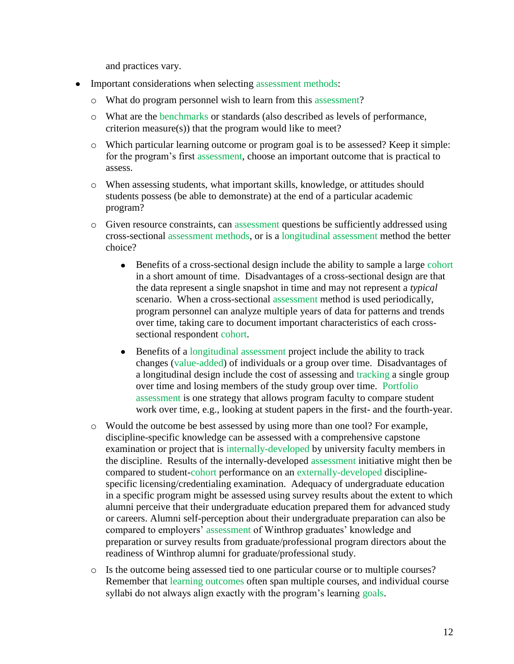and practices vary.

- Important considerations when selecting assessment methods:
	- o What do program personnel wish to learn from this assessment?
	- o What are the benchmarks or standards (also described as levels of performance, criterion measure(s)) that the program would like to meet?
	- o Which particular learning outcome or program goal is to be assessed? Keep it simple: for the program's first assessment, choose an important outcome that is practical to assess.
	- o When assessing students, what important skills, knowledge, or attitudes should students possess (be able to demonstrate) at the end of a particular academic program?
	- o Given resource constraints, can assessment questions be sufficiently addressed using cross-sectional assessment methods, or is a longitudinal assessment method the better choice?
		- Benefits of a cross-sectional design include the ability to sample a large cohort in a short amount of time. Disadvantages of a cross-sectional design are that the data represent a single snapshot in time and may not represent a *typical* scenario. When a cross-sectional assessment method is used periodically, program personnel can analyze multiple years of data for patterns and trends over time, taking care to document important characteristics of each crosssectional respondent cohort.
		- Benefits of a longitudinal assessment project include the ability to track  $\bullet$ changes (value-added) of individuals or a group over time. Disadvantages of a longitudinal design include the cost of assessing and tracking a single group over time and losing members of the study group over time. Portfolio assessment is one strategy that allows program faculty to compare student work over time, e.g., looking at student papers in the first- and the fourth-year.
	- o Would the outcome be best assessed by using more than one tool? For example, discipline-specific knowledge can be assessed with a comprehensive capstone examination or project that is internally-developed by university faculty members in the discipline. Results of the internally-developed assessment initiative might then be compared to student-cohort performance on an externally-developed disciplinespecific licensing/credentialing examination. Adequacy of undergraduate education in a specific program might be assessed using survey results about the extent to which alumni perceive that their undergraduate education prepared them for advanced study or careers. Alumni self-perception about their undergraduate preparation can also be compared to employers' assessment of Winthrop graduates' knowledge and preparation or survey results from graduate/professional program directors about the readiness of Winthrop alumni for graduate/professional study.
	- o Is the outcome being assessed tied to one particular course or to multiple courses? Remember that learning outcomes often span multiple courses, and individual course syllabi do not always align exactly with the program's learning goals.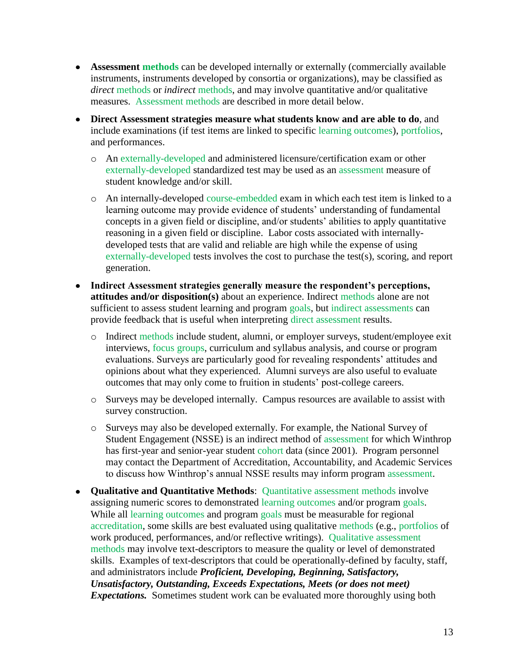- **Assessment methods** can be developed internally or externally (commercially available instruments, instruments developed by consortia or organizations), may be classified as *direct* methods or *indirect* methods, and may involve quantitative and/or qualitative measures. Assessment methods are described in more detail below.
- **Direct Assessment strategies measure what students know and are able to do**, and include examinations (if test items are linked to specific learning outcomes), portfolios, and performances.
	- o An externally-developed and administered licensure/certification exam or other externally-developed standardized test may be used as an assessment measure of student knowledge and/or skill.
	- o An internally-developed course-embedded exam in which each test item is linked to a learning outcome may provide evidence of students' understanding of fundamental concepts in a given field or discipline, and/or students' abilities to apply quantitative reasoning in a given field or discipline. Labor costs associated with internallydeveloped tests that are valid and reliable are high while the expense of using externally-developed tests involves the cost to purchase the test(s), scoring, and report generation.
- **Indirect Assessment strategies generally measure the respondent's perceptions, attitudes and/or disposition(s)** about an experience. Indirect methods alone are not sufficient to assess student learning and program goals, but indirect assessments can provide feedback that is useful when interpreting direct assessment results.
	- o Indirect methods include student, alumni, or employer surveys, student/employee exit interviews, focus groups, curriculum and syllabus analysis, and course or program evaluations. Surveys are particularly good for revealing respondents' attitudes and opinions about what they experienced. Alumni surveys are also useful to evaluate outcomes that may only come to fruition in students' post-college careers.
	- o Surveys may be developed internally. Campus resources are available to assist with survey construction.
	- o Surveys may also be developed externally. For example, the National Survey of Student Engagement (NSSE) is an indirect method of assessment for which Winthrop has first-year and senior-year student cohort data (since 2001). Program personnel may contact the Department of Accreditation, Accountability, and Academic Services to discuss how Winthrop's annual NSSE results may inform program assessment.
- **Oualitative and Quantitative Methods:** Quantitative assessment methods involve assigning numeric scores to demonstrated learning outcomes and/or program goals. While all learning outcomes and program goals must be measurable for regional accreditation, some skills are best evaluated using qualitative methods (e.g., portfolios of work produced, performances, and/or reflective writings). Qualitative assessment methods may involve text-descriptors to measure the quality or level of demonstrated skills. Examples of text-descriptors that could be operationally-defined by faculty, staff, and administrators include *Proficient, Developing, Beginning, Satisfactory, Unsatisfactory, Outstanding, Exceeds Expectations, Meets (or does not meet) Expectations.* Sometimes student work can be evaluated more thoroughly using both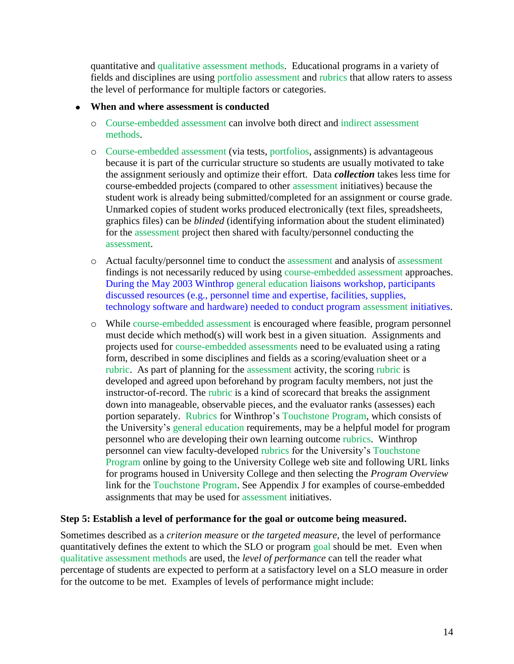quantitative and qualitative assessment methods. Educational programs in a variety of fields and disciplines are using portfolio assessment and rubrics that allow raters to assess the level of performance for multiple factors or categories.

#### **When and where assessment is conducted**

- o Course-embedded assessment can involve both direct and indirect assessment methods.
- o Course-embedded assessment (via tests, portfolios, assignments) is advantageous because it is part of the curricular structure so students are usually motivated to take the assignment seriously and optimize their effort. Data *collection* takes less time for course-embedded projects (compared to other assessment initiatives) because the student work is already being submitted/completed for an assignment or course grade. Unmarked copies of student works produced electronically (text files, spreadsheets, graphics files) can be *blinded* (identifying information about the student eliminated) for the assessment project then shared with faculty/personnel conducting the assessment.
- o Actual faculty/personnel time to conduct the assessment and analysis of assessment findings is not necessarily reduced by using course-embedded assessment approaches. During the May 2003 Winthrop general education liaisons workshop, participants discussed resources (e.g., personnel time and expertise, facilities, supplies, technology software and hardware) needed to conduct program assessment initiatives.
- o While course-embedded assessment is encouraged where feasible, program personnel must decide which method(s) will work best in a given situation. Assignments and projects used for course-embedded assessments need to be evaluated using a rating form, described in some disciplines and fields as a scoring/evaluation sheet or a rubric. As part of planning for the assessment activity, the scoring rubric is developed and agreed upon beforehand by program faculty members, not just the instructor-of-record. The rubric is a kind of scorecard that breaks the assignment down into manageable, observable pieces, and the evaluator ranks (assesses) each portion separately. Rubrics for Winthrop's Touchstone Program, which consists of the University's general education requirements, may be a helpful model for program personnel who are developing their own learning outcome rubrics. Winthrop personnel can view faculty-developed rubrics for the University's Touchstone Program online by going to the University College web site and following URL links for programs housed in University College and then selecting the *Program Overview* link for the Touchstone Program. See Appendix J for examples of course-embedded assignments that may be used for assessment initiatives.

## **Step 5: Establish a level of performance for the goal or outcome being measured.**

Sometimes described as a *criterion measure* or *the targeted measure,* the level of performance quantitatively defines the extent to which the SLO or program goal should be met. Even when qualitative assessment methods are used, the *level of performance* can tell the reader what percentage of students are expected to perform at a satisfactory level on a SLO measure in order for the outcome to be met. Examples of levels of performance might include: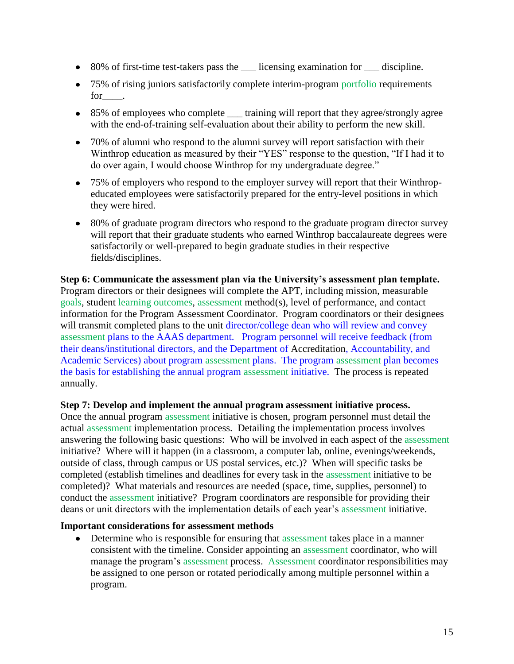- 80% of first-time test-takers pass the <u>examination</u> examination for <u>equilibrium</u>-
- 75% of rising juniors satisfactorily complete interim-program portfolio requirements for .
- 85% of employees who complete training will report that they agree/strongly agree with the end-of-training self-evaluation about their ability to perform the new skill.
- 70% of alumni who respond to the alumni survey will report satisfaction with their Winthrop education as measured by their "YES" response to the question, "If I had it to do over again, I would choose Winthrop for my undergraduate degree."
- 75% of employers who respond to the employer survey will report that their Winthropeducated employees were satisfactorily prepared for the entry-level positions in which they were hired.
- 80% of graduate program directors who respond to the graduate program director survey will report that their graduate students who earned Winthrop baccalaureate degrees were satisfactorily or well-prepared to begin graduate studies in their respective fields/disciplines.

**Step 6: Communicate the assessment plan via the University's assessment plan template.**  Program directors or their designees will complete the APT, including mission, measurable goals, student learning outcomes, assessment method(s), level of performance, and contact information for the Program Assessment Coordinator. Program coordinators or their designees will transmit completed plans to the unit director/college dean who will review and convey assessment plans to the AAAS department. Program personnel will receive feedback (from their deans/institutional directors, and the Department of Accreditation, Accountability, and Academic Services) about program assessment plans. The program assessment plan becomes the basis for establishing the annual program assessment initiative. The process is repeated annually.

## **Step 7: Develop and implement the annual program assessment initiative process.**

Once the annual program assessment initiative is chosen, program personnel must detail the actual assessment implementation process. Detailing the implementation process involves answering the following basic questions: Who will be involved in each aspect of the assessment initiative? Where will it happen (in a classroom, a computer lab, online, evenings/weekends, outside of class, through campus or US postal services, etc.)? When will specific tasks be completed (establish timelines and deadlines for every task in the assessment initiative to be completed)? What materials and resources are needed (space, time, supplies, personnel) to conduct the assessment initiative? Program coordinators are responsible for providing their deans or unit directors with the implementation details of each year's assessment initiative.

## **Important considerations for assessment methods**

• Determine who is responsible for ensuring that assessment takes place in a manner consistent with the timeline. Consider appointing an assessment coordinator, who will manage the program's assessment process. Assessment coordinator responsibilities may be assigned to one person or rotated periodically among multiple personnel within a program.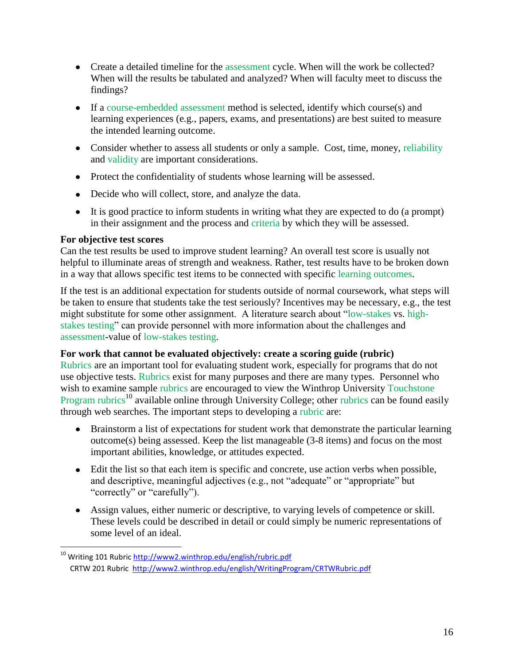- Create a detailed timeline for the assessment cycle. When will the work be collected? When will the results be tabulated and analyzed? When will faculty meet to discuss the findings?
- If a course-embedded assessment method is selected, identify which course(s) and learning experiences (e.g., papers, exams, and presentations) are best suited to measure the intended learning outcome.
- Consider whether to assess all students or only a sample. Cost, time, money, reliability and validity are important considerations.
- Protect the confidentiality of students whose learning will be assessed.
- Decide who will collect, store, and analyze the data.
- It is good practice to inform students in writing what they are expected to do (a prompt) in their assignment and the process and criteria by which they will be assessed.

# **For objective test scores**

 $\overline{a}$ 

Can the test results be used to improve student learning? An overall test score is usually not helpful to illuminate areas of strength and weakness. Rather, test results have to be broken down in a way that allows specific test items to be connected with specific learning outcomes.

If the test is an additional expectation for students outside of normal coursework, what steps will be taken to ensure that students take the test seriously? Incentives may be necessary, e.g., the test might substitute for some other assignment. A literature search about "low-stakes vs. highstakes testing" can provide personnel with more information about the challenges and assessment-value of low-stakes testing.

# **For work that cannot be evaluated objectively: create a scoring guide (rubric)**

Rubrics are an important tool for evaluating student work, especially for programs that do not use objective tests. Rubrics exist for many purposes and there are many types. Personnel who wish to examine sample rubrics are encouraged to view the Winthrop University Touchstone Program rubrics<sup>10</sup> available online through University College; other rubrics can be found easily through web searches. The important steps to developing a rubric are:

- Brainstorm a list of expectations for student work that demonstrate the particular learning outcome(s) being assessed. Keep the list manageable (3-8 items) and focus on the most important abilities, knowledge, or attitudes expected.
- Edit the list so that each item is specific and concrete, use action verbs when possible, and descriptive, meaningful adjectives (e.g., not "adequate" or "appropriate" but "correctly" or "carefully").
- Assign values, either numeric or descriptive, to varying levels of competence or skill. These levels could be described in detail or could simply be numeric representations of some level of an ideal.

<sup>&</sup>lt;sup>10</sup> Writing 101 Rubric <u>http://www2.winthrop.edu/english/rubric.pdf</u> CRTW 201 Rubric <http://www2.winthrop.edu/english/WritingProgram/CRTWRubric.pdf>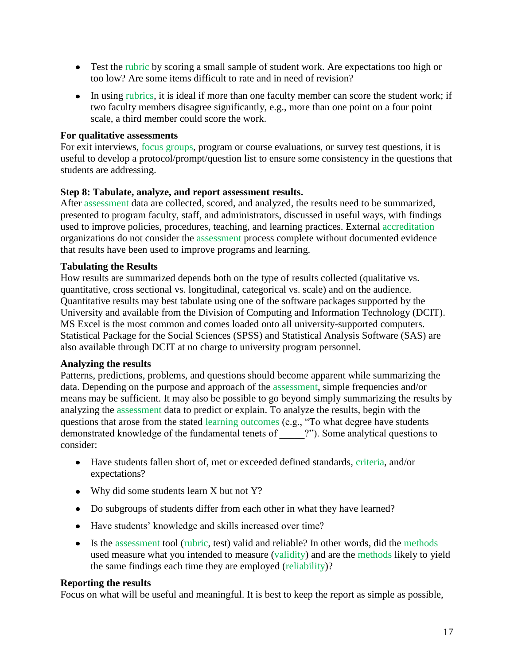- Test the rubric by scoring a small sample of student work. Are expectations too high or too low? Are some items difficult to rate and in need of revision?
- In using rubrics, it is ideal if more than one faculty member can score the student work; if two faculty members disagree significantly, e.g., more than one point on a four point scale, a third member could score the work.

#### **For qualitative assessments**

For exit interviews, focus groups, program or course evaluations, or survey test questions, it is useful to develop a protocol/prompt/question list to ensure some consistency in the questions that students are addressing.

#### **Step 8: Tabulate, analyze, and report assessment results.**

After assessment data are collected, scored, and analyzed, the results need to be summarized, presented to program faculty, staff, and administrators, discussed in useful ways, with findings used to improve policies, procedures, teaching, and learning practices. External accreditation organizations do not consider the assessment process complete without documented evidence that results have been used to improve programs and learning.

#### **Tabulating the Results**

How results are summarized depends both on the type of results collected (qualitative vs. quantitative, cross sectional vs. longitudinal, categorical vs. scale) and on the audience. Quantitative results may best tabulate using one of the software packages supported by the University and available from the Division of Computing and Information Technology (DCIT). MS Excel is the most common and comes loaded onto all university-supported computers. Statistical Package for the Social Sciences (SPSS) and Statistical Analysis Software (SAS) are also available through DCIT at no charge to university program personnel.

#### **Analyzing the results**

Patterns, predictions, problems, and questions should become apparent while summarizing the data. Depending on the purpose and approach of the assessment, simple frequencies and/or means may be sufficient. It may also be possible to go beyond simply summarizing the results by analyzing the assessment data to predict or explain. To analyze the results, begin with the questions that arose from the stated learning outcomes (e.g., "To what degree have students demonstrated knowledge of the fundamental tenets of <sup>2</sup>. (2) Some analytical questions to consider:

- Have students fallen short of, met or exceeded defined standards, criteria, and/or expectations?
- Why did some students learn X but not Y?
- Do subgroups of students differ from each other in what they have learned?
- Have students' knowledge and skills increased over time?
- Is the assessment tool (rubric, test) valid and reliable? In other words, did the methods used measure what you intended to measure (validity) and are the methods likely to yield the same findings each time they are employed (reliability)?

#### **Reporting the results**

Focus on what will be useful and meaningful. It is best to keep the report as simple as possible,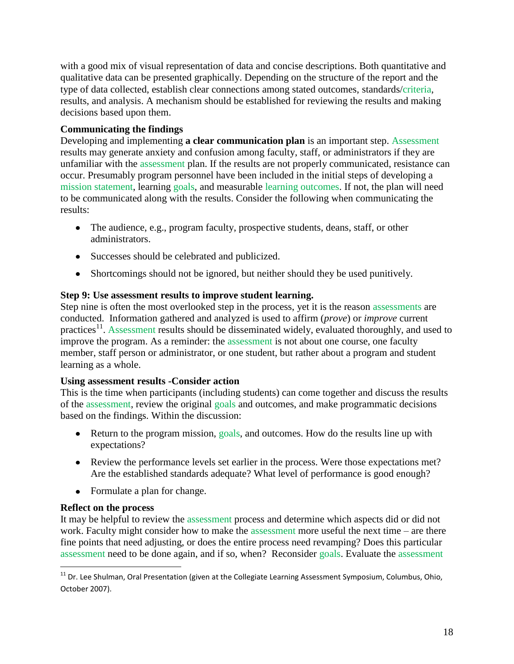with a good mix of visual representation of data and concise descriptions. Both quantitative and qualitative data can be presented graphically. Depending on the structure of the report and the type of data collected, establish clear connections among stated outcomes, standards/criteria, results, and analysis. A mechanism should be established for reviewing the results and making decisions based upon them.

# **Communicating the findings**

Developing and implementing **a clear communication plan** is an important step. Assessment results may generate anxiety and confusion among faculty, staff, or administrators if they are unfamiliar with the assessment plan. If the results are not properly communicated, resistance can occur. Presumably program personnel have been included in the initial steps of developing a mission statement, learning goals, and measurable learning outcomes. If not, the plan will need to be communicated along with the results. Consider the following when communicating the results:

- The audience, e.g., program faculty, prospective students, deans, staff, or other administrators.
- Successes should be celebrated and publicized.
- Shortcomings should not be ignored, but neither should they be used punitively.

# **Step 9: Use assessment results to improve student learning.**

Step nine is often the most overlooked step in the process, yet it is the reason assessments are conducted. Information gathered and analyzed is used to affirm (*prove*) or *improve* current practices<sup>11</sup>. Assessment results should be disseminated widely, evaluated thoroughly, and used to improve the program. As a reminder: the assessment is not about one course, one faculty member, staff person or administrator, or one student, but rather about a program and student learning as a whole.

## **Using assessment results -Consider action**

This is the time when participants (including students) can come together and discuss the results of the assessment, review the original goals and outcomes, and make programmatic decisions based on the findings. Within the discussion:

- Return to the program mission, goals, and outcomes. How do the results line up with expectations?
- Review the performance levels set earlier in the process. Were those expectations met? Are the established standards adequate? What level of performance is good enough?
- Formulate a plan for change.

## **Reflect on the process**

 $\overline{a}$ 

It may be helpful to review the assessment process and determine which aspects did or did not work. Faculty might consider how to make the assessment more useful the next time – are there fine points that need adjusting, or does the entire process need revamping? Does this particular assessment need to be done again, and if so, when? Reconsider goals. Evaluate the assessment

<sup>&</sup>lt;sup>11</sup> Dr. Lee Shulman, Oral Presentation (given at the Collegiate Learning Assessment Symposium, Columbus, Ohio, October 2007).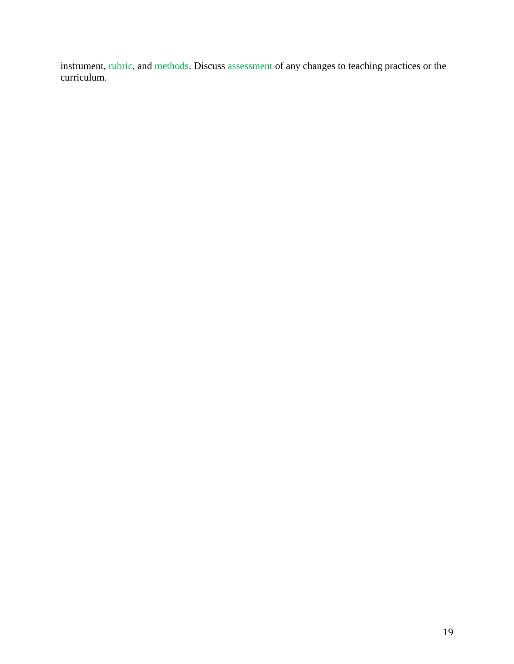instrument, rubric, and methods. Discuss assessment of any changes to teaching practices or the curriculum.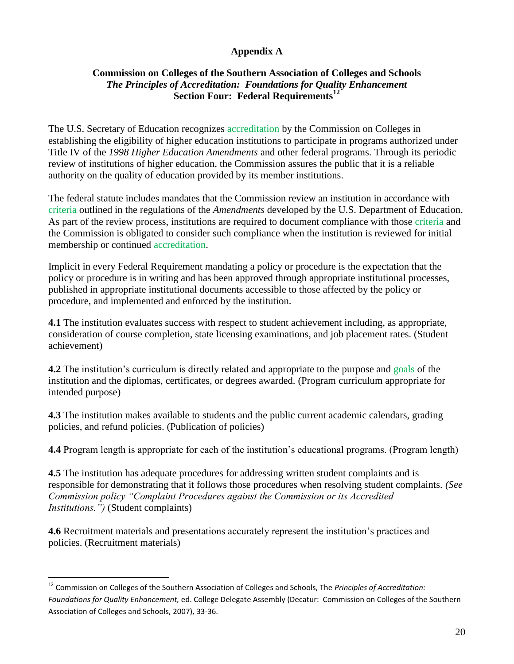# **Appendix A**

#### **Commission on Colleges of the Southern Association of Colleges and Schools** *The Principles of Accreditation: Foundations for Quality Enhancement* **Section Four: Federal Requirements<sup>12</sup>**

The U.S. Secretary of Education recognizes accreditation by the Commission on Colleges in establishing the eligibility of higher education institutions to participate in programs authorized under Title IV of the *1998 Higher Education Amendments* and other federal programs. Through its periodic review of institutions of higher education, the Commission assures the public that it is a reliable authority on the quality of education provided by its member institutions.

The federal statute includes mandates that the Commission review an institution in accordance with criteria outlined in the regulations of the *Amendments* developed by the U.S. Department of Education. As part of the review process, institutions are required to document compliance with those criteria and the Commission is obligated to consider such compliance when the institution is reviewed for initial membership or continued accreditation.

Implicit in every Federal Requirement mandating a policy or procedure is the expectation that the policy or procedure is in writing and has been approved through appropriate institutional processes, published in appropriate institutional documents accessible to those affected by the policy or procedure, and implemented and enforced by the institution.

**4.1** The institution evaluates success with respect to student achievement including, as appropriate, consideration of course completion, state licensing examinations, and job placement rates. (Student achievement)

**4.2** The institution's curriculum is directly related and appropriate to the purpose and goals of the institution and the diplomas, certificates, or degrees awarded. (Program curriculum appropriate for intended purpose)

**4.3** The institution makes available to students and the public current academic calendars, grading policies, and refund policies. (Publication of policies)

**4.4** Program length is appropriate for each of the institution's educational programs. (Program length)

**4.5** The institution has adequate procedures for addressing written student complaints and is responsible for demonstrating that it follows those procedures when resolving student complaints. *(See Commission policy "Complaint Procedures against the Commission or its Accredited Institutions.")* (Student complaints)

**4.6** Recruitment materials and presentations accurately represent the institution's practices and policies. (Recruitment materials)

 $\overline{a}$ 

<sup>12</sup> Commission on Colleges of the Southern Association of Colleges and Schools, The *Principles of Accreditation: Foundations for Quality Enhancement,* ed. College Delegate Assembly (Decatur: Commission on Colleges of the Southern Association of Colleges and Schools, 2007), 33-36.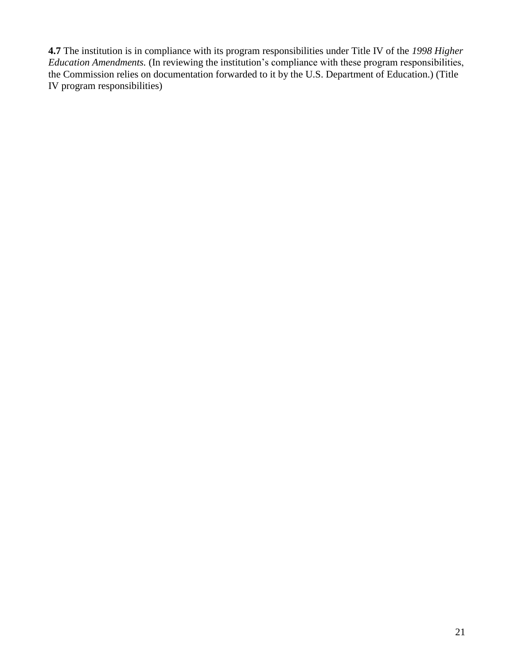**4.7** The institution is in compliance with its program responsibilities under Title IV of the *1998 Higher Education Amendments.* (In reviewing the institution's compliance with these program responsibilities, the Commission relies on documentation forwarded to it by the U.S. Department of Education.) (Title IV program responsibilities)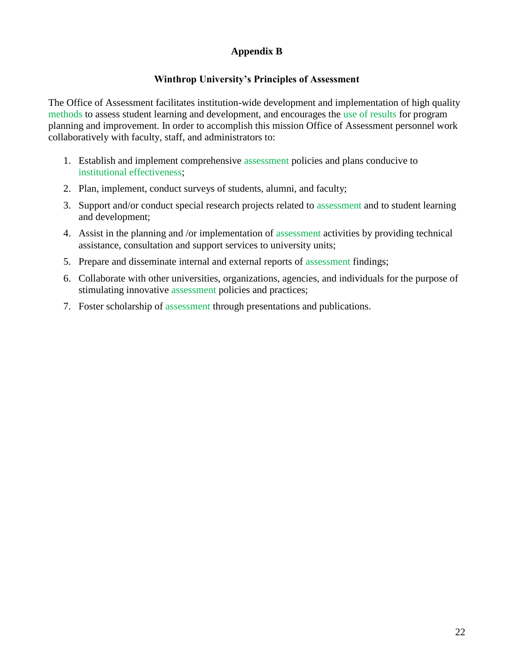# **Appendix B**

## **Winthrop University's Principles of Assessment**

The Office of Assessment facilitates institution-wide development and implementation of high quality methods to assess student learning and development, and encourages the use of results for program planning and improvement. In order to accomplish this mission Office of Assessment personnel work collaboratively with faculty, staff, and administrators to:

- 1. Establish and implement comprehensive assessment policies and plans conducive to institutional effectiveness;
- 2. Plan, implement, conduct surveys of students, alumni, and faculty;
- 3. Support and/or conduct special research projects related to assessment and to student learning and development;
- 4. Assist in the planning and /or implementation of assessment activities by providing technical assistance, consultation and support services to university units;
- 5. Prepare and disseminate internal and external reports of assessment findings;
- 6. Collaborate with other universities, organizations, agencies, and individuals for the purpose of stimulating innovative assessment policies and practices;
- 7. Foster scholarship of assessment through presentations and publications.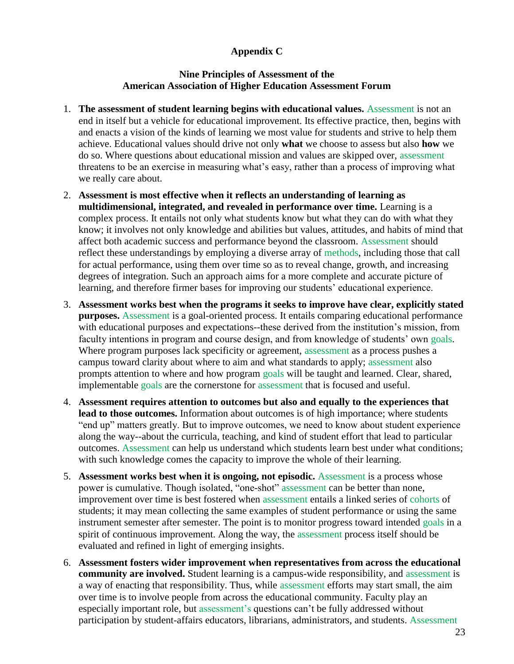# **Appendix C**

#### **Nine Principles of Assessment of the American Association of Higher Education Assessment Forum**

- 1. **The assessment of student learning begins with educational values.** Assessment is not an end in itself but a vehicle for educational improvement. Its effective practice, then, begins with and enacts a vision of the kinds of learning we most value for students and strive to help them achieve. Educational values should drive not only **what** we choose to assess but also **how** we do so. Where questions about educational mission and values are skipped over, assessment threatens to be an exercise in measuring what's easy, rather than a process of improving what we really care about.
- 2. **Assessment is most effective when it reflects an understanding of learning as multidimensional, integrated, and revealed in performance over time.** Learning is a complex process. It entails not only what students know but what they can do with what they know; it involves not only knowledge and abilities but values, attitudes, and habits of mind that affect both academic success and performance beyond the classroom. Assessment should reflect these understandings by employing a diverse array of methods, including those that call for actual performance, using them over time so as to reveal change, growth, and increasing degrees of integration. Such an approach aims for a more complete and accurate picture of learning, and therefore firmer bases for improving our students' educational experience.
- 3. **Assessment works best when the programs it seeks to improve have clear, explicitly stated purposes.** Assessment is a goal-oriented process. It entails comparing educational performance with educational purposes and expectations--these derived from the institution's mission, from faculty intentions in program and course design, and from knowledge of students' own goals. Where program purposes lack specificity or agreement, assessment as a process pushes a campus toward clarity about where to aim and what standards to apply; assessment also prompts attention to where and how program goals will be taught and learned. Clear, shared, implementable goals are the cornerstone for assessment that is focused and useful.
- 4. **Assessment requires attention to outcomes but also and equally to the experiences that lead to those outcomes.** Information about outcomes is of high importance; where students "end up" matters greatly. But to improve outcomes, we need to know about student experience along the way--about the curricula, teaching, and kind of student effort that lead to particular outcomes. Assessment can help us understand which students learn best under what conditions; with such knowledge comes the capacity to improve the whole of their learning.
- 5. **Assessment works best when it is ongoing, not episodic.** Assessment is a process whose power is cumulative. Though isolated, "one-shot" assessment can be better than none, improvement over time is best fostered when assessment entails a linked series of cohorts of students; it may mean collecting the same examples of student performance or using the same instrument semester after semester. The point is to monitor progress toward intended goals in a spirit of continuous improvement. Along the way, the assessment process itself should be evaluated and refined in light of emerging insights.
- 6. **Assessment fosters wider improvement when representatives from across the educational community are involved.** Student learning is a campus-wide responsibility, and assessment is a way of enacting that responsibility. Thus, while assessment efforts may start small, the aim over time is to involve people from across the educational community. Faculty play an especially important role, but assessment's questions can't be fully addressed without participation by student-affairs educators, librarians, administrators, and students. Assessment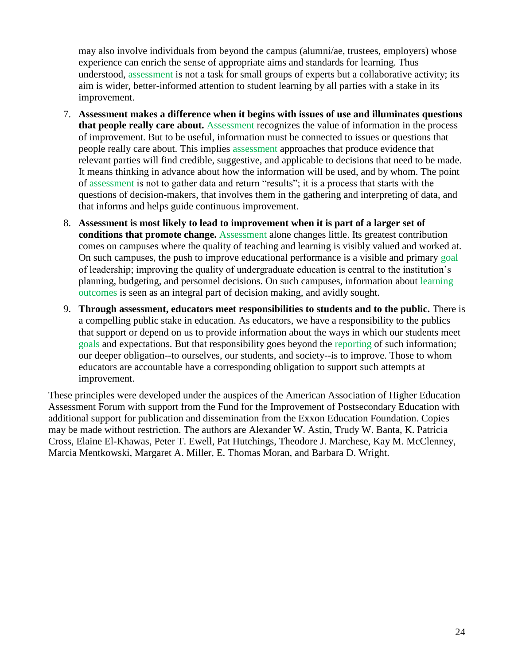may also involve individuals from beyond the campus (alumni/ae, trustees, employers) whose experience can enrich the sense of appropriate aims and standards for learning. Thus understood, assessment is not a task for small groups of experts but a collaborative activity; its aim is wider, better-informed attention to student learning by all parties with a stake in its improvement.

- 7. **Assessment makes a difference when it begins with issues of use and illuminates questions that people really care about.** Assessment recognizes the value of information in the process of improvement. But to be useful, information must be connected to issues or questions that people really care about. This implies assessment approaches that produce evidence that relevant parties will find credible, suggestive, and applicable to decisions that need to be made. It means thinking in advance about how the information will be used, and by whom. The point of assessment is not to gather data and return "results"; it is a process that starts with the questions of decision-makers, that involves them in the gathering and interpreting of data, and that informs and helps guide continuous improvement.
- 8. **Assessment is most likely to lead to improvement when it is part of a larger set of conditions that promote change.** Assessment alone changes little. Its greatest contribution comes on campuses where the quality of teaching and learning is visibly valued and worked at. On such campuses, the push to improve educational performance is a visible and primary goal of leadership; improving the quality of undergraduate education is central to the institution's planning, budgeting, and personnel decisions. On such campuses, information about learning outcomes is seen as an integral part of decision making, and avidly sought.
- 9. **Through assessment, educators meet responsibilities to students and to the public.** There is a compelling public stake in education. As educators, we have a responsibility to the publics that support or depend on us to provide information about the ways in which our students meet goals and expectations. But that responsibility goes beyond the reporting of such information; our deeper obligation--to ourselves, our students, and society--is to improve. Those to whom educators are accountable have a corresponding obligation to support such attempts at improvement.

These principles were developed under the auspices of the American Association of Higher Education Assessment Forum with support from the Fund for the Improvement of Postsecondary Education with additional support for publication and dissemination from the Exxon Education Foundation. Copies may be made without restriction. The authors are Alexander W. Astin, Trudy W. Banta, K. Patricia Cross, Elaine El-Khawas, Peter T. Ewell, Pat Hutchings, Theodore J. Marchese, Kay M. McClenney, Marcia Mentkowski, Margaret A. Miller, E. Thomas Moran, and Barbara D. Wright.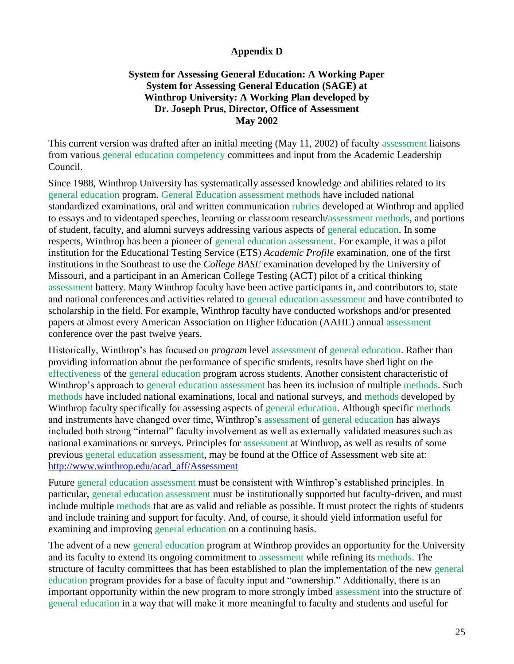#### **Appendix D**

#### **System for Assessing General Education: A Working Paper System for Assessing General Education (SAGE) at Winthrop University: A Working Plan developed by Dr. Joseph Prus, Director, Office of Assessment May 2002**

This current version was drafted after an initial meeting (May 11, 2002) of faculty assessment liaisons from various general education competency committees and input from the Academic Leadership Council.

Since 1988, Winthrop University has systematically assessed knowledge and abilities related to its general education program. General Education assessment methods have included national standardized examinations, oral and written communication rubrics developed at Winthrop and applied to essays and to videotaped speeches, learning or classroom research/assessment methods, and portions of student, faculty, and alumni surveys addressing various aspects of general education. In some respects, Winthrop has been a pioneer of general education assessment. For example, it was a pilot institution for the Educational Testing Service (ETS) *Academic Profile* examination, one of the first institutions in the Southeast to use the *College BASE* examination developed by the University of Missouri, and a participant in an American College Testing (ACT) pilot of a critical thinking assessment battery. Many Winthrop faculty have been active participants in, and contributors to, state and national conferences and activities related to general education assessment and have contributed to scholarship in the field. For example, Winthrop faculty have conducted workshops and/or presented papers at almost every American Association on Higher Education (AAHE) annual assessment conference over the past twelve years.

Historically, Winthrop's has focused on *program* level assessment of general education. Rather than providing information about the performance of specific students, results have shed light on the effectiveness of the general education program across students. Another consistent characteristic of Winthrop's approach to general education assessment has been its inclusion of multiple methods. Such methods have included national examinations, local and national surveys, and methods developed by Winthrop faculty specifically for assessing aspects of general education. Although specific methods and instruments have changed over time, Winthrop's assessment of general education has always included both strong "internal" faculty involvement as well as externally validated measures such as national examinations or surveys. Principles for assessment at Winthrop, as well as results of some previous general education assessment, may be found at the Office of Assessment web site at: [http://www.winthrop.edu/acad\\_aff/Assessment](http://www.winthrop.edu/acad_aff/Assessment)

Future general education assessment must be consistent with Winthrop's established principles. In particular, general education assessment must be institutionally supported but faculty-driven, and must include multiple methods that are as valid and reliable as possible. It must protect the rights of students and include training and support for faculty. And, of course, it should yield information useful for examining and improving general education on a continuing basis.

The advent of a new general education program at Winthrop provides an opportunity for the University and its faculty to extend its ongoing commitment to assessment while refining its methods. The structure of faculty committees that has been established to plan the implementation of the new general education program provides for a base of faculty input and "ownership." Additionally, there is an important opportunity within the new program to more strongly imbed assessment into the structure of general education in a way that will make it more meaningful to faculty and students and useful for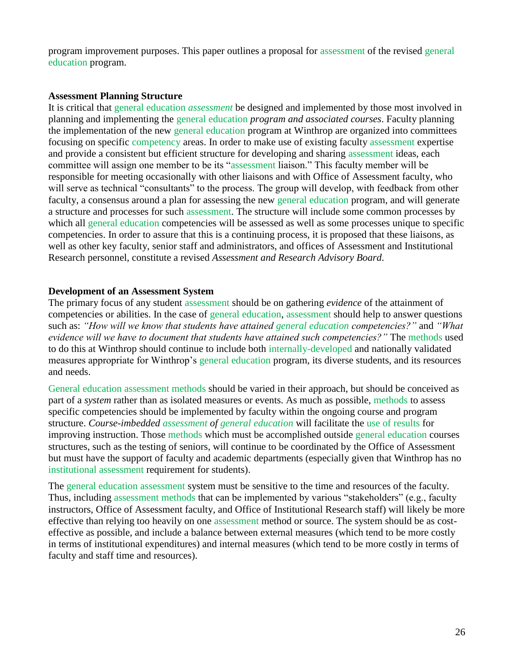program improvement purposes. This paper outlines a proposal for assessment of the revised general education program.

#### **Assessment Planning Structure**

It is critical that general education *assessment* be designed and implemented by those most involved in planning and implementing the general education *program and associated courses*. Faculty planning the implementation of the new general education program at Winthrop are organized into committees focusing on specific competency areas. In order to make use of existing faculty assessment expertise and provide a consistent but efficient structure for developing and sharing assessment ideas, each committee will assign one member to be its "assessment liaison." This faculty member will be responsible for meeting occasionally with other liaisons and with Office of Assessment faculty, who will serve as technical "consultants" to the process. The group will develop, with feedback from other faculty, a consensus around a plan for assessing the new general education program, and will generate a structure and processes for such assessment. The structure will include some common processes by which all general education competencies will be assessed as well as some processes unique to specific competencies. In order to assure that this is a continuing process, it is proposed that these liaisons, as well as other key faculty, senior staff and administrators, and offices of Assessment and Institutional Research personnel, constitute a revised *Assessment and Research Advisory Board*.

#### **Development of an Assessment System**

The primary focus of any student assessment should be on gathering *evidence* of the attainment of competencies or abilities. In the case of general education, assessment should help to answer questions such as: *"How will we know that students have attained general education competencies?"* and *"What evidence will we have to document that students have attained such competencies?"* The methods used to do this at Winthrop should continue to include both internally-developed and nationally validated measures appropriate for Winthrop's general education program, its diverse students, and its resources and needs.

General education assessment methods should be varied in their approach, but should be conceived as part of a *system* rather than as isolated measures or events. As much as possible, methods to assess specific competencies should be implemented by faculty within the ongoing course and program structure. *Course-imbedded assessment of general education* will facilitate the use of results for improving instruction. Those methods which must be accomplished outside general education courses structures, such as the testing of seniors, will continue to be coordinated by the Office of Assessment but must have the support of faculty and academic departments (especially given that Winthrop has no institutional assessment requirement for students).

The general education assessment system must be sensitive to the time and resources of the faculty. Thus, including assessment methods that can be implemented by various "stakeholders" (e.g., faculty instructors, Office of Assessment faculty, and Office of Institutional Research staff) will likely be more effective than relying too heavily on one assessment method or source. The system should be as costeffective as possible, and include a balance between external measures (which tend to be more costly in terms of institutional expenditures) and internal measures (which tend to be more costly in terms of faculty and staff time and resources).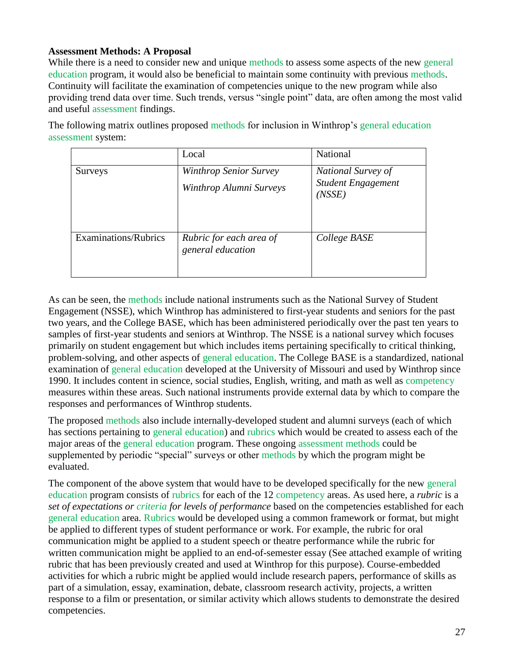## **Assessment Methods: A Proposal**

While there is a need to consider new and unique methods to assess some aspects of the new general education program, it would also be beneficial to maintain some continuity with previous methods. Continuity will facilitate the examination of competencies unique to the new program while also providing trend data over time. Such trends, versus "single point" data, are often among the most valid and useful assessment findings.

The following matrix outlines proposed methods for inclusion in Winthrop's general education assessment system:

|                             | Local                                                    | National                                                  |
|-----------------------------|----------------------------------------------------------|-----------------------------------------------------------|
| Surveys                     | <b>Winthrop Senior Survey</b><br>Winthrop Alumni Surveys | National Survey of<br><b>Student Engagement</b><br>'NSSE) |
| <b>Examinations/Rubrics</b> | Rubric for each area of<br>general education             | College BASE                                              |

As can be seen, the methods include national instruments such as the National Survey of Student Engagement (NSSE), which Winthrop has administered to first-year students and seniors for the past two years, and the College BASE, which has been administered periodically over the past ten years to samples of first-year students and seniors at Winthrop. The NSSE is a national survey which focuses primarily on student engagement but which includes items pertaining specifically to critical thinking, problem-solving, and other aspects of general education. The College BASE is a standardized, national examination of general education developed at the University of Missouri and used by Winthrop since 1990. It includes content in science, social studies, English, writing, and math as well as competency measures within these areas. Such national instruments provide external data by which to compare the responses and performances of Winthrop students.

The proposed methods also include internally-developed student and alumni surveys (each of which has sections pertaining to general education) and rubrics which would be created to assess each of the major areas of the general education program. These ongoing assessment methods could be supplemented by periodic "special" surveys or other methods by which the program might be evaluated.

The component of the above system that would have to be developed specifically for the new general education program consists of rubrics for each of the 12 competency areas. As used here, a *rubric* is a *set of expectations or criteria for levels of performance* based on the competencies established for each general education area. Rubrics would be developed using a common framework or format, but might be applied to different types of student performance or work. For example, the rubric for oral communication might be applied to a student speech or theatre performance while the rubric for written communication might be applied to an end-of-semester essay (See attached example of writing rubric that has been previously created and used at Winthrop for this purpose). Course-embedded activities for which a rubric might be applied would include research papers, performance of skills as part of a simulation, essay, examination, debate, classroom research activity, projects, a written response to a film or presentation, or similar activity which allows students to demonstrate the desired competencies.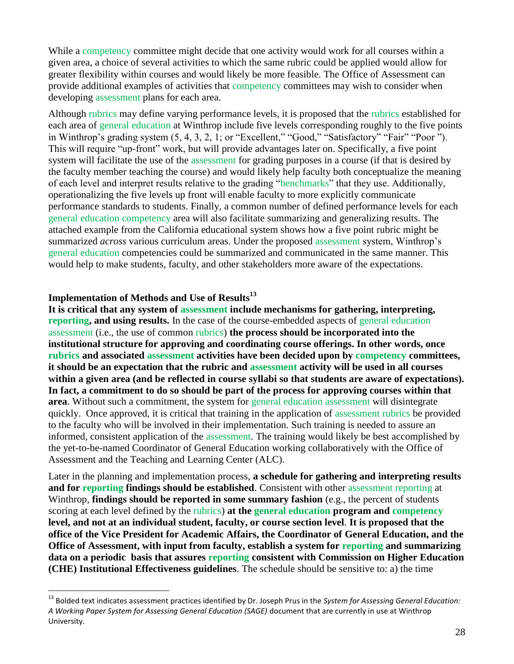While a competency committee might decide that one activity would work for all courses within a given area, a choice of several activities to which the same rubric could be applied would allow for greater flexibility within courses and would likely be more feasible. The Office of Assessment can provide additional examples of activities that competency committees may wish to consider when developing assessment plans for each area.

Although rubrics may define varying performance levels, it is proposed that the rubrics established for each area of general education at Winthrop include five levels corresponding roughly to the five points in Winthrop's grading system (5, 4, 3, 2, 1; or "Excellent," "Good," "Satisfactory" "Fair" "Poor "). This will require "up-front" work, but will provide advantages later on. Specifically, a five point system will facilitate the use of the assessment for grading purposes in a course (if that is desired by the faculty member teaching the course) and would likely help faculty both conceptualize the meaning of each level and interpret results relative to the grading "benchmarks" that they use. Additionally, operationalizing the five levels up front will enable faculty to more explicitly communicate performance standards to students. Finally, a common number of defined performance levels for each general education competency area will also facilitate summarizing and generalizing results. The attached example from the California educational system shows how a five point rubric might be summarized *across* various curriculum areas. Under the proposed assessment system, Winthrop's general education competencies could be summarized and communicated in the same manner. This would help to make students, faculty, and other stakeholders more aware of the expectations.

# **Implementation of Methods and Use of Results<sup>13</sup>**

 $\overline{a}$ 

**It is critical that any system of assessment include mechanisms for gathering, interpreting, reporting, and using results.** In the case of the course-embedded aspects of general education assessment (i.e., the use of common rubrics) **the process should be incorporated into the institutional structure for approving and coordinating course offerings. In other words, once rubrics and associated assessment activities have been decided upon by competency committees, it should be an expectation that the rubric and assessment activity will be used in all courses within a given area (and be reflected in course syllabi so that students are aware of expectations). In fact, a commitment to do so should be part of the process for approving courses within that area**. Without such a commitment, the system for general education assessment will disintegrate quickly. Once approved, it is critical that training in the application of assessment rubrics be provided to the faculty who will be involved in their implementation. Such training is needed to assure an informed, consistent application of the assessment. The training would likely be best accomplished by the yet-to-be-named Coordinator of General Education working collaboratively with the Office of Assessment and the Teaching and Learning Center (ALC).

Later in the planning and implementation process, **a schedule for gathering and interpreting results and for reporting findings should be established**. Consistent with other assessment reporting at Winthrop, **findings should be reported in some summary fashion** (e.g., the percent of students scoring at each level defined by the rubrics) **at the general education program and competency level, and not at an individual student, faculty, or course section level**. **It is proposed that the office of the Vice President for Academic Affairs, the Coordinator of General Education, and the Office of Assessment, with input from faculty, establish a system for reporting and summarizing data on a periodic basis that assures reporting consistent with Commission on Higher Education (CHE) Institutional Effectiveness guidelines**. The schedule should be sensitive to: a) the time

<sup>13</sup> Bolded text indicates assessment practices identified by Dr. Joseph Prus in the *System for Assessing General Education: A Working Paper System for Assessing General Education (SAGE)* document that are currently in use at Winthrop University.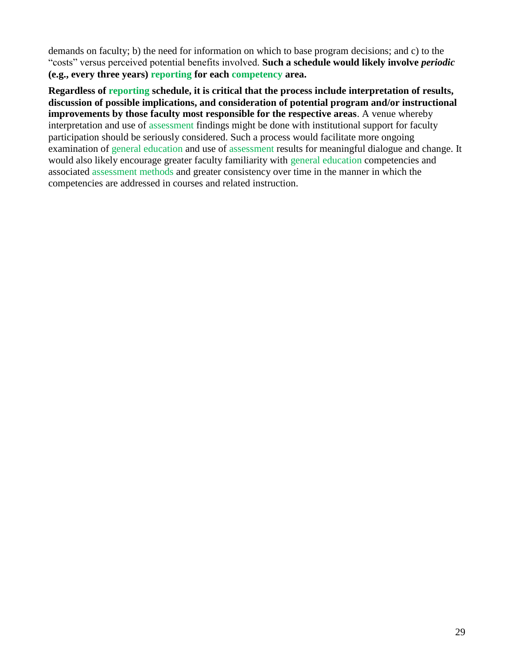demands on faculty; b) the need for information on which to base program decisions; and c) to the "costs" versus perceived potential benefits involved. **Such a schedule would likely involve** *periodic*  **(e.g., every three years) reporting for each competency area.** 

**Regardless of reporting schedule, it is critical that the process include interpretation of results, discussion of possible implications, and consideration of potential program and/or instructional improvements by those faculty most responsible for the respective areas**. A venue whereby interpretation and use of assessment findings might be done with institutional support for faculty participation should be seriously considered. Such a process would facilitate more ongoing examination of general education and use of assessment results for meaningful dialogue and change. It would also likely encourage greater faculty familiarity with general education competencies and associated assessment methods and greater consistency over time in the manner in which the competencies are addressed in courses and related instruction.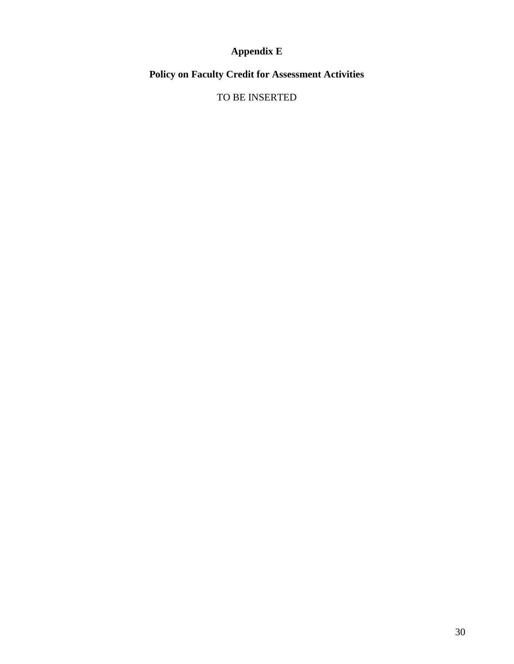# **Appendix E**

**Policy on Faculty Credit for Assessment Activities**

TO BE INSERTED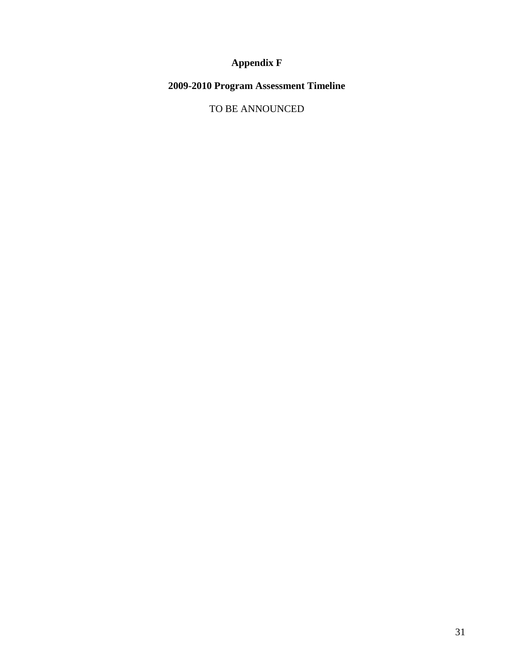# **Appendix F**

# **2009-2010 Program Assessment Timeline**

# TO BE ANNOUNCED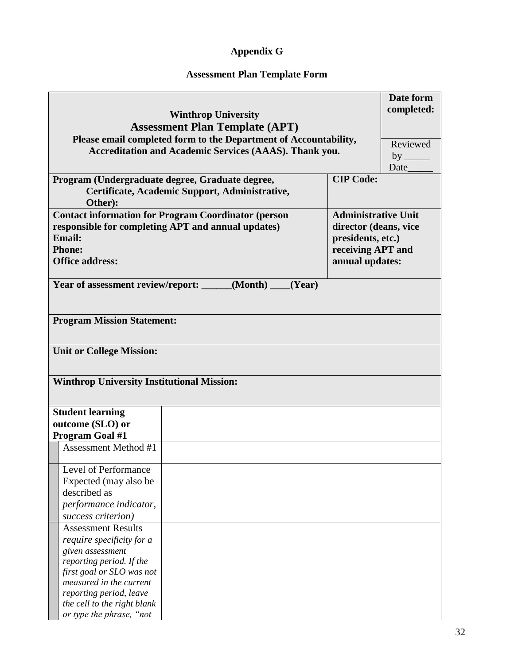# **Appendix G**

# **Assessment Plan Template Form**

|                                                                  |                                                                     |                            | Date form                              |  |
|------------------------------------------------------------------|---------------------------------------------------------------------|----------------------------|----------------------------------------|--|
|                                                                  |                                                                     |                            |                                        |  |
| <b>Winthrop University</b>                                       |                                                                     |                            |                                        |  |
| <b>Assessment Plan Template (APT)</b>                            |                                                                     |                            |                                        |  |
| Please email completed form to the Department of Accountability, |                                                                     |                            | Reviewed                               |  |
| <b>Accreditation and Academic Services (AAAS). Thank you.</b>    |                                                                     |                            |                                        |  |
|                                                                  |                                                                     |                            | by $\frac{\log  y }{\log  y }$<br>Date |  |
|                                                                  | <b>CIP Code:</b><br>Program (Undergraduate degree, Graduate degree, |                            |                                        |  |
|                                                                  | Certificate, Academic Support, Administrative,                      |                            |                                        |  |
| Other):                                                          |                                                                     |                            |                                        |  |
| <b>Contact information for Program Coordinator (person</b>       |                                                                     | <b>Administrative Unit</b> |                                        |  |
| responsible for completing APT and annual updates)               |                                                                     |                            |                                        |  |
| Email:                                                           |                                                                     | director (deans, vice      |                                        |  |
|                                                                  |                                                                     | presidents, etc.)          |                                        |  |
| <b>Phone:</b>                                                    |                                                                     | receiving APT and          |                                        |  |
| <b>Office address:</b>                                           |                                                                     | annual updates:            |                                        |  |
|                                                                  |                                                                     |                            |                                        |  |
|                                                                  | Year of assessment review/report: _______(Month) ____(Year)         |                            |                                        |  |
|                                                                  |                                                                     |                            |                                        |  |
|                                                                  |                                                                     |                            |                                        |  |
| <b>Program Mission Statement:</b>                                |                                                                     |                            |                                        |  |
|                                                                  |                                                                     |                            |                                        |  |
|                                                                  |                                                                     |                            |                                        |  |
| <b>Unit or College Mission:</b>                                  |                                                                     |                            |                                        |  |
|                                                                  |                                                                     |                            |                                        |  |
| <b>Winthrop University Institutional Mission:</b>                |                                                                     |                            |                                        |  |
|                                                                  |                                                                     |                            |                                        |  |
|                                                                  |                                                                     |                            |                                        |  |
| <b>Student learning</b>                                          |                                                                     |                            |                                        |  |
| outcome (SLO) or                                                 |                                                                     |                            |                                        |  |
| <b>Program Goal #1</b>                                           |                                                                     |                            |                                        |  |
| <b>Assessment Method #1</b>                                      |                                                                     |                            |                                        |  |
|                                                                  |                                                                     |                            |                                        |  |
| Level of Performance                                             |                                                                     |                            |                                        |  |
| Expected (may also be                                            |                                                                     |                            |                                        |  |
| described as                                                     |                                                                     |                            |                                        |  |
| performance indicator,                                           |                                                                     |                            |                                        |  |
| success criterion)                                               |                                                                     |                            |                                        |  |
| <b>Assessment Results</b>                                        |                                                                     |                            |                                        |  |
|                                                                  |                                                                     |                            |                                        |  |
| require specificity for a                                        |                                                                     |                            |                                        |  |
| given assessment                                                 |                                                                     |                            |                                        |  |
| reporting period. If the                                         |                                                                     |                            |                                        |  |
| first goal or SLO was not                                        |                                                                     |                            |                                        |  |
| measured in the current                                          |                                                                     |                            |                                        |  |
| reporting period, leave                                          |                                                                     |                            |                                        |  |
| the cell to the right blank                                      |                                                                     |                            |                                        |  |
| or type the phrase, "not                                         |                                                                     |                            |                                        |  |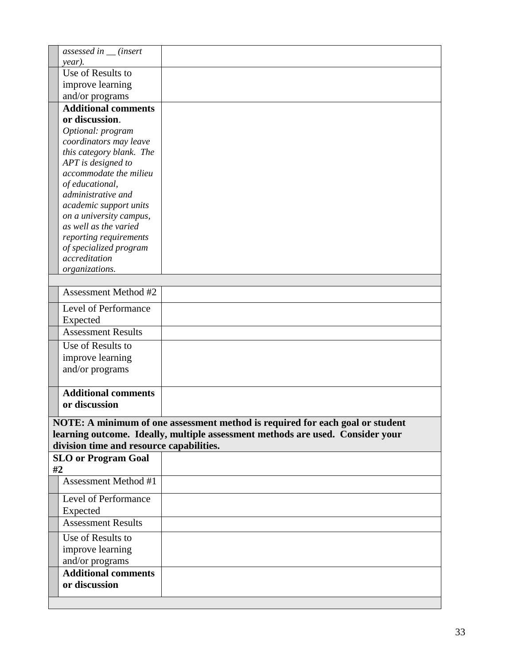| assessed in $_$ / $\iint$<br>year).              |                                                                                |
|--------------------------------------------------|--------------------------------------------------------------------------------|
| Use of Results to                                |                                                                                |
| improve learning                                 |                                                                                |
| and/or programs                                  |                                                                                |
| <b>Additional comments</b>                       |                                                                                |
| or discussion.                                   |                                                                                |
| Optional: program                                |                                                                                |
| coordinators may leave                           |                                                                                |
| this category blank. The                         |                                                                                |
| APT is designed to                               |                                                                                |
| accommodate the milieu                           |                                                                                |
| of educational,                                  |                                                                                |
| administrative and                               |                                                                                |
| academic support units                           |                                                                                |
| on a university campus,<br>as well as the varied |                                                                                |
| reporting requirements                           |                                                                                |
| of specialized program                           |                                                                                |
| accreditation                                    |                                                                                |
| organizations.                                   |                                                                                |
|                                                  |                                                                                |
| <b>Assessment Method #2</b>                      |                                                                                |
| Level of Performance                             |                                                                                |
| Expected                                         |                                                                                |
| <b>Assessment Results</b>                        |                                                                                |
| Use of Results to                                |                                                                                |
| improve learning                                 |                                                                                |
| and/or programs                                  |                                                                                |
|                                                  |                                                                                |
| <b>Additional comments</b>                       |                                                                                |
| or discussion                                    |                                                                                |
|                                                  | NOTE: A minimum of one assessment method is required for each goal or student  |
|                                                  | learning outcome. Ideally, multiple assessment methods are used. Consider your |
| division time and resource capabilities.         |                                                                                |
| <b>SLO or Program Goal</b>                       |                                                                                |
| #2                                               |                                                                                |
| Assessment Method #1                             |                                                                                |
| Level of Performance                             |                                                                                |
| Expected                                         |                                                                                |
| <b>Assessment Results</b>                        |                                                                                |
| Use of Results to                                |                                                                                |
| improve learning                                 |                                                                                |
| and/or programs                                  |                                                                                |
| <b>Additional comments</b>                       |                                                                                |
| or discussion                                    |                                                                                |
|                                                  |                                                                                |
|                                                  |                                                                                |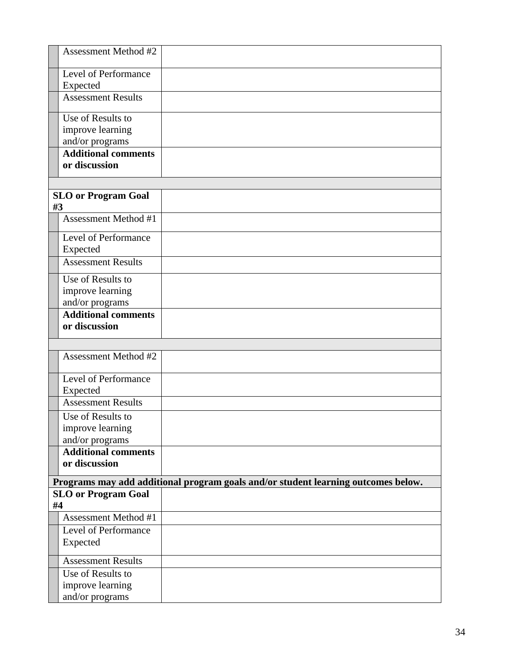| <b>Assessment Method #2</b>           |                                                                                   |
|---------------------------------------|-----------------------------------------------------------------------------------|
|                                       |                                                                                   |
| Level of Performance                  |                                                                                   |
| Expected                              |                                                                                   |
| <b>Assessment Results</b>             |                                                                                   |
| Use of Results to                     |                                                                                   |
| improve learning                      |                                                                                   |
| and/or programs                       |                                                                                   |
| <b>Additional comments</b>            |                                                                                   |
| or discussion                         |                                                                                   |
|                                       |                                                                                   |
| <b>SLO or Program Goal</b><br>#3      |                                                                                   |
| <b>Assessment Method #1</b>           |                                                                                   |
| Level of Performance                  |                                                                                   |
| Expected<br><b>Assessment Results</b> |                                                                                   |
|                                       |                                                                                   |
| Use of Results to                     |                                                                                   |
| improve learning                      |                                                                                   |
| and/or programs                       |                                                                                   |
| <b>Additional comments</b>            |                                                                                   |
| or discussion                         |                                                                                   |
|                                       |                                                                                   |
| <b>Assessment Method #2</b>           |                                                                                   |
| Level of Performance                  |                                                                                   |
| Expected                              |                                                                                   |
| <b>Assessment Results</b>             |                                                                                   |
| Use of Results to                     |                                                                                   |
| improve learning                      |                                                                                   |
| and/or programs                       |                                                                                   |
| <b>Additional comments</b>            |                                                                                   |
| or discussion                         |                                                                                   |
|                                       | Programs may add additional program goals and/or student learning outcomes below. |
| <b>SLO or Program Goal</b>            |                                                                                   |
| #4                                    |                                                                                   |
| <b>Assessment Method #1</b>           |                                                                                   |
| Level of Performance                  |                                                                                   |
| Expected                              |                                                                                   |
| <b>Assessment Results</b>             |                                                                                   |
| Use of Results to                     |                                                                                   |
| improve learning                      |                                                                                   |
| and/or programs                       |                                                                                   |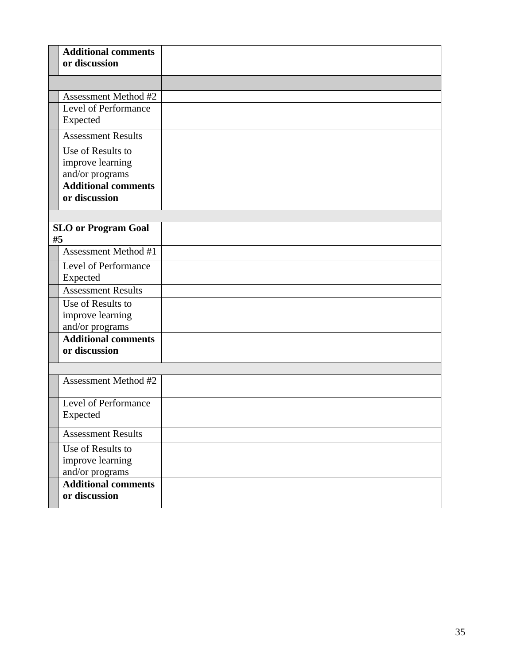| <b>Additional comments</b><br>or discussion              |  |
|----------------------------------------------------------|--|
|                                                          |  |
| <b>Assessment Method #2</b>                              |  |
| Level of Performance<br>Expected                         |  |
| <b>Assessment Results</b>                                |  |
| Use of Results to<br>improve learning<br>and/or programs |  |
| <b>Additional comments</b><br>or discussion              |  |
|                                                          |  |
| <b>SLO or Program Goal</b><br>#5                         |  |
| <b>Assessment Method #1</b>                              |  |
| Level of Performance                                     |  |
| Expected                                                 |  |
| <b>Assessment Results</b>                                |  |
| Use of Results to<br>improve learning<br>and/or programs |  |
| <b>Additional comments</b><br>or discussion              |  |
|                                                          |  |
| <b>Assessment Method #2</b>                              |  |
| Level of Performance<br>Expected                         |  |
| <b>Assessment Results</b>                                |  |
| Use of Results to<br>improve learning<br>and/or programs |  |
| <b>Additional comments</b><br>or discussion              |  |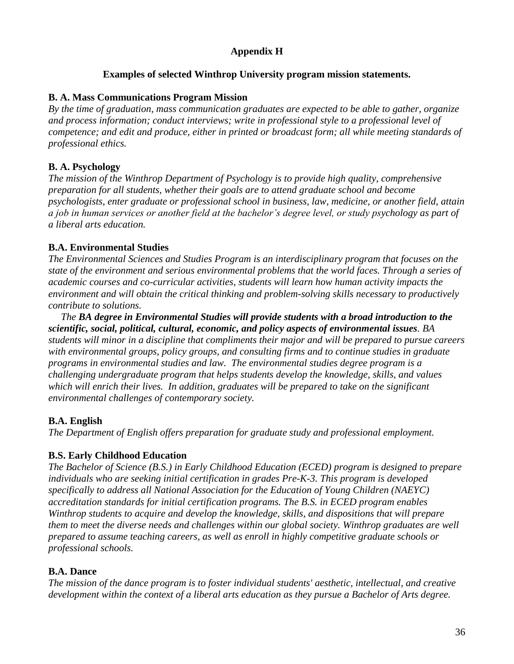# **Appendix H**

#### **Examples of selected Winthrop University program mission statements.**

#### **B. A. Mass Communications Program Mission**

*By the time of graduation, mass communication graduates are expected to be able to gather, organize and process information; conduct interviews; write in professional style to a professional level of competence; and edit and produce, either in printed or broadcast form; all while meeting standards of professional ethics.*

# **B. A. Psychology**

*The mission of the Winthrop Department of Psychology is to provide high quality, comprehensive preparation for all students, whether their goals are to attend graduate school and become psychologists, enter graduate or professional school in business, law, medicine, or another field, attain a job in human services or another field at the bachelor's degree level, or study psychology as part of a liberal arts education.*

# **B.A. Environmental Studies**

*The Environmental Sciences and Studies Program is an interdisciplinary program that focuses on the state of the environment and serious environmental problems that the world faces. Through a series of academic courses and co-curricular activities, students will learn how human activity impacts the environment and will obtain the critical thinking and problem-solving skills necessary to productively contribute to solutions.* 

 *The BA degree in Environmental Studies will provide students with a broad introduction to the scientific, social, political, cultural, economic, and policy aspects of environmental issues. BA students will minor in a discipline that compliments their major and will be prepared to pursue careers with environmental groups, policy groups, and consulting firms and to continue studies in graduate programs in environmental studies and law. The environmental studies degree program is a challenging undergraduate program that helps students develop the knowledge, skills, and values which will enrich their lives. In addition, graduates will be prepared to take on the significant environmental challenges of contemporary society.*

## **B.A. English**

*The Department of English offers preparation for graduate study and professional employment.*

## **B.S. Early Childhood Education**

*The Bachelor of Science (B.S.) in Early Childhood Education (ECED) program is designed to prepare individuals who are seeking initial certification in grades Pre-K-3. This program is developed specifically to address all National Association for the Education of Young Children (NAEYC) accreditation standards for initial certification programs. The B.S. in ECED program enables Winthrop students to acquire and develop the knowledge, skills, and dispositions that will prepare them to meet the diverse needs and challenges within our global society. Winthrop graduates are well prepared to assume teaching careers, as well as enroll in highly competitive graduate schools or professional schools.*

## **B.A. Dance**

*The mission of the dance program is to foster individual students' aesthetic, intellectual, and creative development within the context of a liberal arts education as they pursue a Bachelor of Arts degree.*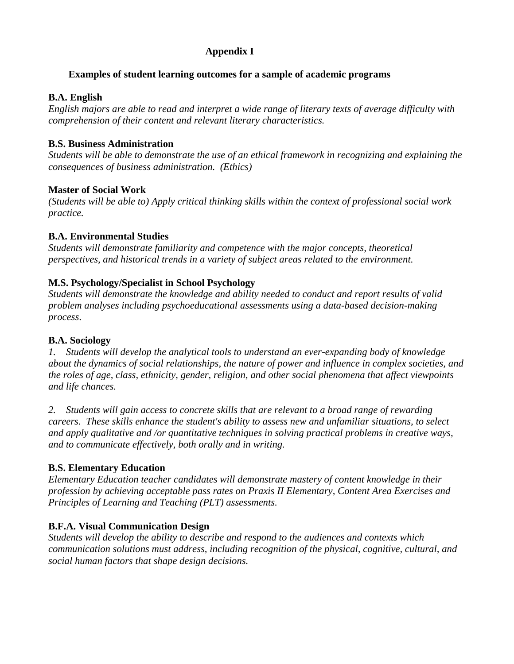# **Appendix I**

#### **Examples of student learning outcomes for a sample of academic programs**

#### **B.A. English**

*English majors are able to read and interpret a wide range of literary texts of average difficulty with comprehension of their content and relevant literary characteristics.*

#### **B.S. Business Administration**

*Students will be able to demonstrate the use of an ethical framework in recognizing and explaining the consequences of business administration. (Ethics)* 

#### **Master of Social Work**

*(Students will be able to) Apply critical thinking skills within the context of professional social work practice.*

#### **B.A. Environmental Studies**

*Students will demonstrate familiarity and competence with the major concepts, theoretical perspectives, and historical trends in a variety of subject areas related to the environment.*

## **M.S. Psychology/Specialist in School Psychology**

*Students will demonstrate the knowledge and ability needed to conduct and report results of valid problem analyses including psychoeducational assessments using a data-based decision-making process*.

#### **B.A. Sociology**

*1. Students will develop the analytical tools to understand an ever-expanding body of knowledge about the dynamics of social relationships, the nature of power and influence in complex societies, and the roles of age, class, ethnicity, gender, religion, and other social phenomena that affect viewpoints and life chances.*

*2. Students will gain access to concrete skills that are relevant to a broad range of rewarding careers. These skills enhance the student's ability to assess new and unfamiliar situations, to select and apply qualitative and /or quantitative techniques in solving practical problems in creative ways, and to communicate effectively, both orally and in writing.*

## **B.S. Elementary Education**

*Elementary Education teacher candidates will demonstrate mastery of content knowledge in their profession by achieving acceptable pass rates on Praxis II Elementary, Content Area Exercises and Principles of Learning and Teaching (PLT) assessments.*

## **B.F.A. Visual Communication Design**

*Students will develop the ability to describe and respond to the audiences and contexts which communication solutions must address, including recognition of the physical, cognitive, cultural, and social human factors that shape design decisions.*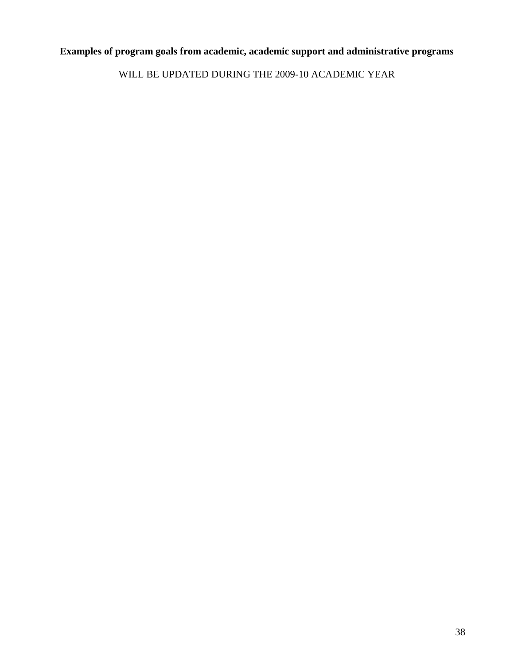# **Examples of program goals from academic, academic support and administrative programs**

WILL BE UPDATED DURING THE 2009-10 ACADEMIC YEAR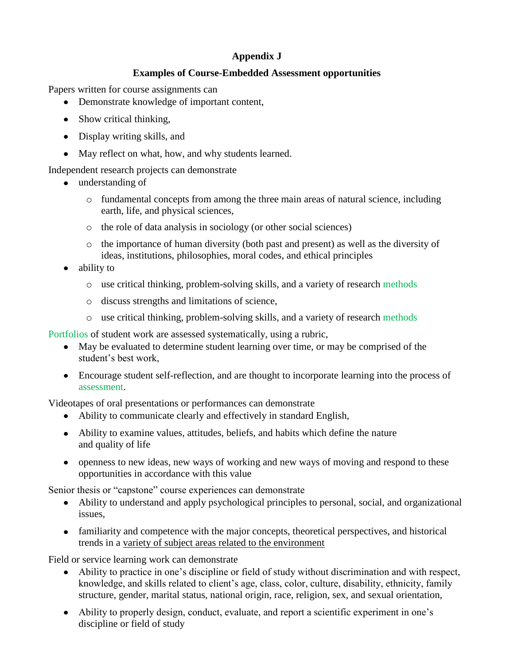# **Appendix J**

## **Examples of Course-Embedded Assessment opportunities**

Papers written for course assignments can

- Demonstrate knowledge of important content,
- Show critical thinking,
- Display writing skills, and
- May reflect on what, how, and why students learned.

Independent research projects can demonstrate

- understanding of
	- $\circ$  fundamental concepts from among the three main areas of natural science, including earth, life, and physical sciences,
	- o the role of data analysis in sociology (or other social sciences)
	- o the importance of human diversity (both past and present) as well as the diversity of ideas, institutions, philosophies, moral codes, and ethical principles
- ability to
	- $\circ$  use critical thinking, problem-solving skills, and a variety of research methods
	- o discuss strengths and limitations of science,
	- o use critical thinking, problem-solving skills, and a variety of research methods

Portfolios of student work are assessed systematically, using a rubric,

- May be evaluated to determine student learning over time, or may be comprised of the student's best work,
- Encourage student self-reflection, and are thought to incorporate learning into the process of assessment.

Videotapes of oral presentations or performances can demonstrate

- Ability to communicate clearly and effectively in standard English,
- Ability to examine values, attitudes, beliefs, and habits which define the nature and quality of life
- openness to new ideas, new ways of working and new ways of moving and respond to these opportunities in accordance with this value

Senior thesis or "capstone" course experiences can demonstrate

- Ability to understand and apply psychological principles to personal, social, and organizational issues,
- familiarity and competence with the major concepts, theoretical perspectives, and historical trends in a variety of subject areas related to the environment

Field or service learning work can demonstrate

- Ability to practice in one's discipline or field of study without discrimination and with respect, knowledge, and skills related to client's age, class, color, culture, disability, ethnicity, family structure, gender, marital status, national origin, race, religion, sex, and sexual orientation,
- Ability to properly design, conduct, evaluate, and report a scientific experiment in one's discipline or field of study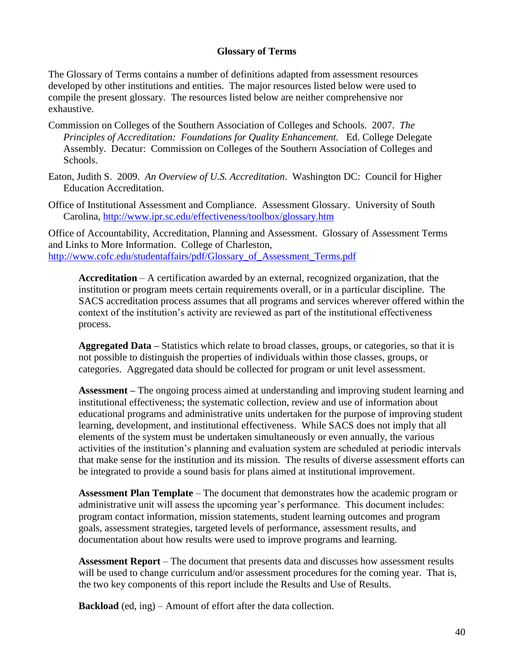#### **Glossary of Terms**

The Glossary of Terms contains a number of definitions adapted from assessment resources developed by other institutions and entities. The major resources listed below were used to compile the present glossary. The resources listed below are neither comprehensive nor exhaustive.

- Commission on Colleges of the Southern Association of Colleges and Schools. 2007. *The Principles of Accreditation: Foundations for Quality Enhancement.* Ed. College Delegate Assembly. Decatur: Commission on Colleges of the Southern Association of Colleges and Schools.
- Eaton, Judith S. 2009. *An Overview of U.S. Accreditation*. Washington DC: Council for Higher Education Accreditation.
- Office of Institutional Assessment and Compliance. Assessment Glossary. University of South Carolina,<http://www.ipr.sc.edu/effectiveness/toolbox/glossary.htm>

Office of Accountability, Accreditation, Planning and Assessment. Glossary of Assessment Terms and Links to More Information. College of Charleston, [http://www.cofc.edu/studentaffairs/pdf/Glossary\\_of\\_Assessment\\_Terms.pdf](http://www.cofc.edu/studentaffairs/pdf/Glossary_of_Assessment_Terms.pdf)

**Accreditation** – A certification awarded by an external, recognized organization, that the institution or program meets certain requirements overall, or in a particular discipline. The SACS accreditation process assumes that all programs and services wherever offered within the context of the institution's activity are reviewed as part of the institutional effectiveness process.

**Aggregated Data –** Statistics which relate to broad classes, groups, or categories, so that it is not possible to distinguish the properties of individuals within those classes, groups, or categories. Aggregated data should be collected for program or unit level assessment.

**Assessment –** The ongoing process aimed at understanding and improving student learning and institutional effectiveness; the systematic collection, review and use of information about educational programs and administrative units undertaken for the purpose of improving student learning, development, and institutional effectiveness. While SACS does not imply that all elements of the system must be undertaken simultaneously or even annually, the various activities of the institution's planning and evaluation system are scheduled at periodic intervals that make sense for the institution and its mission. The results of diverse assessment efforts can be integrated to provide a sound basis for plans aimed at institutional improvement.

**Assessment Plan Template** – The document that demonstrates how the academic program or administrative unit will assess the upcoming year's performance. This document includes: program contact information, mission statements, student learning outcomes and program goals, assessment strategies, targeted levels of performance, assessment results, and documentation about how results were used to improve programs and learning.

**Assessment Report** – The document that presents data and discusses how assessment results will be used to change curriculum and/or assessment procedures for the coming year. That is, the two key components of this report include the Results and Use of Results.

**Backload** (ed, ing) – Amount of effort after the data collection.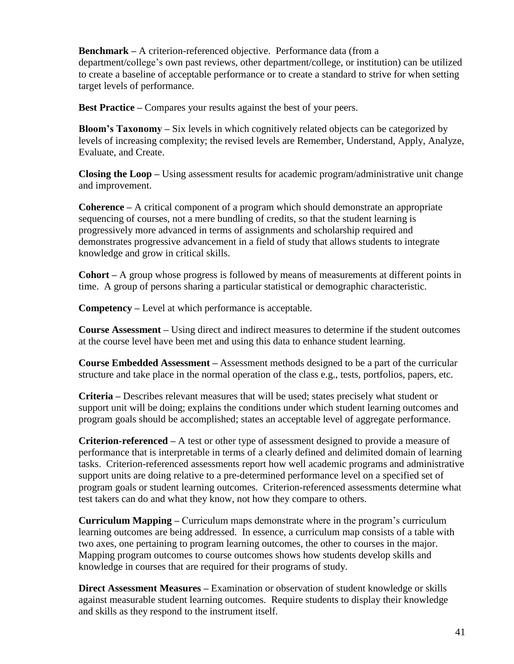**Benchmark –** A criterion-referenced objective. Performance data (from a department/college's own past reviews, other department/college, or institution) can be utilized to create a baseline of acceptable performance or to create a standard to strive for when setting target levels of performance.

**Best Practice –** Compares your results against the best of your peers.

**Bloom's Taxonomy –** Six levels in which cognitively related objects can be categorized by levels of increasing complexity; the revised levels are Remember, Understand, Apply, Analyze, Evaluate, and Create.

**Closing the Loop –** Using assessment results for academic program/administrative unit change and improvement.

**Coherence –** A critical component of a program which should demonstrate an appropriate sequencing of courses, not a mere bundling of credits, so that the student learning is progressively more advanced in terms of assignments and scholarship required and demonstrates progressive advancement in a field of study that allows students to integrate knowledge and grow in critical skills.

**Cohort –** A group whose progress is followed by means of measurements at different points in time. A group of persons sharing a particular statistical or demographic characteristic.

**Competency –** Level at which performance is acceptable.

**Course Assessment –** Using direct and indirect measures to determine if the student outcomes at the course level have been met and using this data to enhance student learning.

**Course Embedded Assessment –** Assessment methods designed to be a part of the curricular structure and take place in the normal operation of the class e.g., tests, portfolios, papers, etc.

**Criteria –** Describes relevant measures that will be used; states precisely what student or support unit will be doing; explains the conditions under which student learning outcomes and program goals should be accomplished; states an acceptable level of aggregate performance.

**Criterion-referenced –** A test or other type of assessment designed to provide a measure of performance that is interpretable in terms of a clearly defined and delimited domain of learning tasks. Criterion-referenced assessments report how well academic programs and administrative support units are doing relative to a pre-determined performance level on a specified set of program goals or student learning outcomes. Criterion-referenced assessments determine what test takers can do and what they know, not how they compare to others.

**Curriculum Mapping –** Curriculum maps demonstrate where in the program's curriculum learning outcomes are being addressed. In essence, a curriculum map consists of a table with two axes, one pertaining to program learning outcomes, the other to courses in the major. Mapping program outcomes to course outcomes shows how students develop skills and knowledge in courses that are required for their programs of study.

**Direct Assessment Measures –** Examination or observation of student knowledge or skills against measurable student learning outcomes. Require students to display their knowledge and skills as they respond to the instrument itself.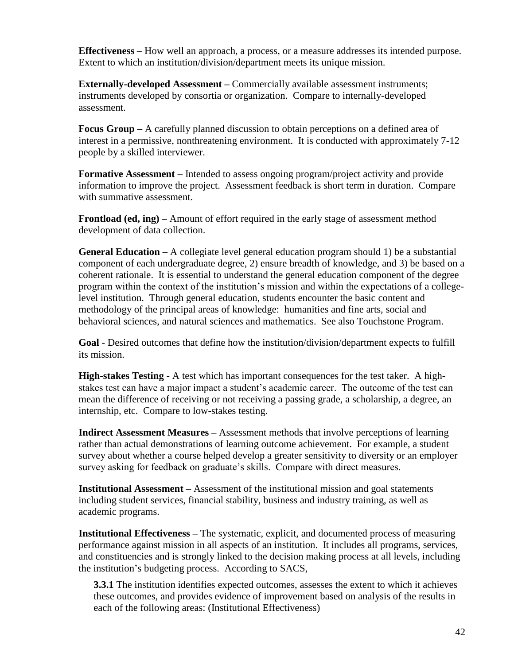**Effectiveness –** How well an approach, a process, or a measure addresses its intended purpose. Extent to which an institution/division/department meets its unique mission.

**Externally-developed Assessment –** Commercially available assessment instruments; instruments developed by consortia or organization. Compare to internally-developed assessment.

**Focus Group –** A carefully planned discussion to obtain perceptions on a defined area of interest in a permissive, nonthreatening environment. It is conducted with approximately 7-12 people by a skilled interviewer.

**Formative Assessment –** Intended to assess ongoing program/project activity and provide information to improve the project. Assessment feedback is short term in duration. Compare with summative assessment.

**Frontload (ed, ing)** – Amount of effort required in the early stage of assessment method development of data collection.

**General Education –** A collegiate level general education program should 1) be a substantial component of each undergraduate degree, 2) ensure breadth of knowledge, and 3) be based on a coherent rationale. It is essential to understand the general education component of the degree program within the context of the institution's mission and within the expectations of a collegelevel institution. Through general education, students encounter the basic content and methodology of the principal areas of knowledge: humanities and fine arts, social and behavioral sciences, and natural sciences and mathematics. See also Touchstone Program.

**Goal** - Desired outcomes that define how the institution/division/department expects to fulfill its mission.

**High-stakes Testing -** A [test](http://en.wikipedia.org/wiki/Test_%28student_assessment%29) which has important consequences for the test taker. A highstakes test can have a major impact a student's academic career. The outcome of the test can mean the difference of receiving or not receiving a passing grade, a scholarship, a degree, an internship, etc. Compare to low-stakes testing.

**Indirect Assessment Measures –** Assessment methods that involve perceptions of learning rather than actual demonstrations of learning outcome achievement. For example, a student survey about whether a course helped develop a greater sensitivity to diversity or an employer survey asking for feedback on graduate's skills. Compare with direct measures.

**Institutional Assessment –** Assessment of the institutional mission and goal statements including student services, financial stability, business and industry training, as well as academic programs.

**Institutional Effectiveness –** The systematic, explicit, and documented process of measuring performance against mission in all aspects of an institution. It includes all programs, services, and constituencies and is strongly linked to the decision making process at all levels, including the institution's budgeting process. According to SACS,

**3.3.1** The institution identifies expected outcomes, assesses the extent to which it achieves these outcomes, and provides evidence of improvement based on analysis of the results in each of the following areas: (Institutional Effectiveness)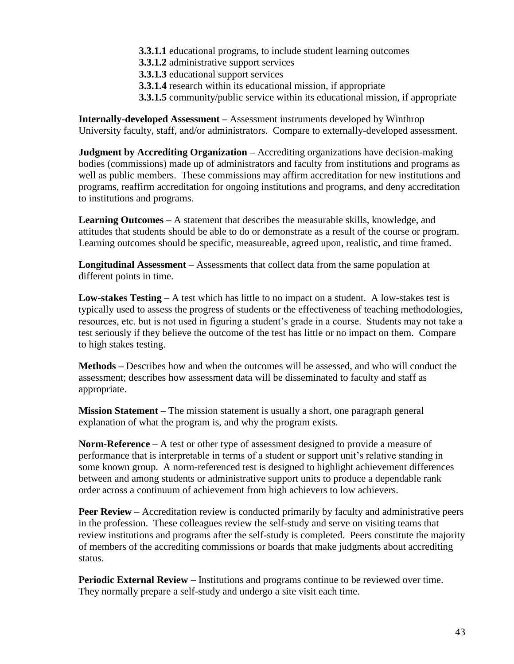- **3.3.1.1** educational programs, to include student learning outcomes
- **3.3.1.2** administrative support services
- **3.3.1.3** educational support services
- **3.3.1.4** research within its educational mission, if appropriate
- **3.3.1.5** community/public service within its educational mission, if appropriate

**Internally-developed Assessment –** Assessment instruments developed by Winthrop University faculty, staff, and/or administrators. Compare to externally-developed assessment.

**Judgment by Accrediting Organization** – Accrediting organizations have decision-making bodies (commissions) made up of administrators and faculty from institutions and programs as well as public members. These commissions may affirm accreditation for new institutions and programs, reaffirm accreditation for ongoing institutions and programs, and deny accreditation to institutions and programs.

**Learning Outcomes** – A statement that describes the measurable skills, knowledge, and attitudes that students should be able to do or demonstrate as a result of the course or program. Learning outcomes should be specific, measureable, agreed upon, realistic, and time framed.

**Longitudinal Assessment** – Assessments that collect data from the same population at different points in time.

**Low-stakes Testing** – A test which has little to no impact on a student. A low-stakes test is typically used to assess the progress of students or the effectiveness of teaching methodologies, resources, etc. but is not used in figuring a student's grade in a course. Students may not take a test seriously if they believe the outcome of the test has little or no impact on them. Compare to high stakes testing.

**Methods –** Describes how and when the outcomes will be assessed, and who will conduct the assessment; describes how assessment data will be disseminated to faculty and staff as appropriate.

**Mission Statement** – The mission statement is usually a short, one paragraph general explanation of what the program is, and why the program exists.

**Norm-Reference** – A test or other type of assessment designed to provide a measure of performance that is interpretable in terms of a student or support unit's relative standing in some known group. A norm-referenced test is designed to highlight achievement differences between and among students or administrative support units to produce a dependable rank order across a continuum of achievement from high achievers to low achievers.

**Peer Review** – Accreditation review is conducted primarily by faculty and administrative peers in the profession. These colleagues review the self-study and serve on visiting teams that review institutions and programs after the self-study is completed. Peers constitute the majority of members of the accrediting commissions or boards that make judgments about accrediting status.

**Periodic External Review** – Institutions and programs continue to be reviewed over time. They normally prepare a self-study and undergo a site visit each time.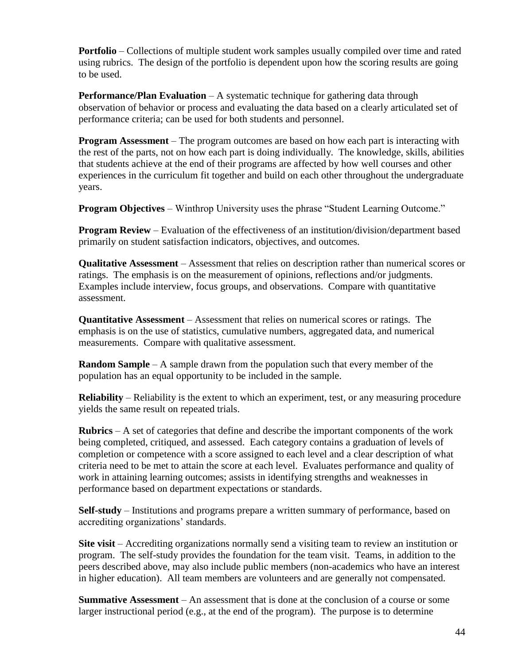**Portfolio** – Collections of multiple student work samples usually compiled over time and rated using rubrics. The design of the portfolio is dependent upon how the scoring results are going to be used.

**Performance/Plan Evaluation** – A systematic technique for gathering data through observation of behavior or process and evaluating the data based on a clearly articulated set of performance criteria; can be used for both students and personnel.

**Program Assessment** – The program outcomes are based on how each part is interacting with the rest of the parts, not on how each part is doing individually. The knowledge, skills, abilities that students achieve at the end of their programs are affected by how well courses and other experiences in the curriculum fit together and build on each other throughout the undergraduate years.

**Program Objectives** – Winthrop University uses the phrase "Student Learning Outcome."

**Program Review** – Evaluation of the effectiveness of an institution/division/department based primarily on student satisfaction indicators, objectives, and outcomes.

**Qualitative Assessment** – Assessment that relies on description rather than numerical scores or ratings. The emphasis is on the measurement of opinions, reflections and/or judgments. Examples include interview, focus groups, and observations. Compare with quantitative assessment.

**Quantitative Assessment** – Assessment that relies on numerical scores or ratings. The emphasis is on the use of statistics, cumulative numbers, aggregated data, and numerical measurements. Compare with qualitative assessment.

**Random Sample** – A sample drawn from the population such that every member of the population has an equal opportunity to be included in the sample.

**Reliability** – Reliability is the extent to which an experiment, test, or any measuring procedure yields the same result on repeated trials.

**Rubrics** – A set of categories that define and describe the important components of the work being completed, critiqued, and assessed. Each category contains a graduation of levels of completion or competence with a score assigned to each level and a clear description of what criteria need to be met to attain the score at each level. Evaluates performance and quality of work in attaining learning outcomes; assists in identifying strengths and weaknesses in performance based on department expectations or standards.

**Self-study** – Institutions and programs prepare a written summary of performance, based on accrediting organizations' standards.

Site visit – Accrediting organizations normally send a visiting team to review an institution or program. The self-study provides the foundation for the team visit. Teams, in addition to the peers described above, may also include public members (non-academics who have an interest in higher education). All team members are volunteers and are generally not compensated.

**Summative Assessment** – An assessment that is done at the conclusion of a course or some larger instructional period (e.g., at the end of the program). The purpose is to determine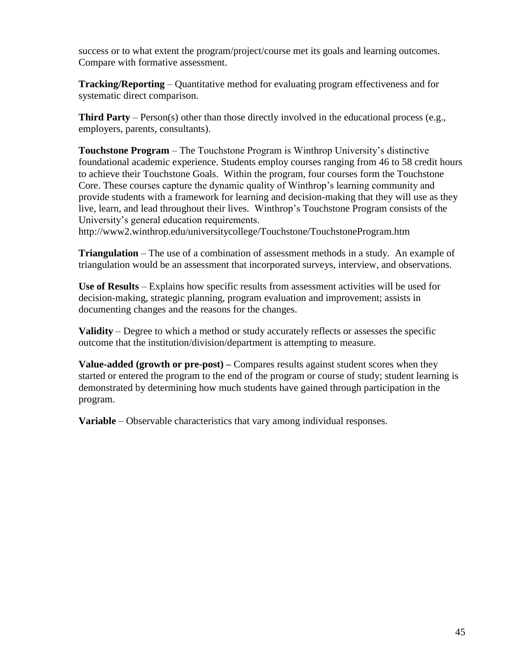success or to what extent the program/project/course met its goals and learning outcomes. Compare with formative assessment.

**Tracking/Reporting** – Quantitative method for evaluating program effectiveness and for systematic direct comparison.

**Third Party** – Person(s) other than those directly involved in the educational process (e.g., employers, parents, consultants).

**Touchstone Program** – The Touchstone Program is Winthrop University's distinctive foundational academic experience. Students employ courses ranging from 46 to 58 credit hours to achieve their Touchstone Goals. Within the program, four courses form the Touchstone Core. These courses capture the dynamic quality of Winthrop's learning community and provide students with a framework for learning and decision-making that they will use as they live, learn, and lead throughout their lives. Winthrop's Touchstone Program consists of the University's general education requirements.

http://www2.winthrop.edu/universitycollege/Touchstone/TouchstoneProgram.htm

**Triangulation** – The use of a combination of assessment methods in a study. An example of triangulation would be an assessment that incorporated surveys, interview, and observations.

**Use of Results** – Explains how specific results from assessment activities will be used for decision-making, strategic planning, program evaluation and improvement; assists in documenting changes and the reasons for the changes.

**Validity** – Degree to which a method or study accurately reflects or assesses the specific outcome that the institution/division/department is attempting to measure.

**Value-added (growth or pre-post) –** Compares results against student scores when they started or entered the program to the end of the program or course of study; student learning is demonstrated by determining how much students have gained through participation in the program.

**Variable** – Observable characteristics that vary among individual responses.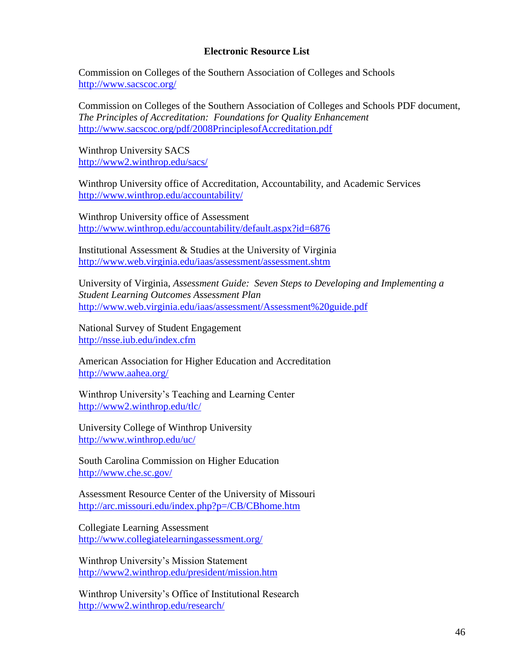#### **Electronic Resource List**

Commission on Colleges of the Southern Association of Colleges and Schools <http://www.sacscoc.org/>

Commission on Colleges of the Southern Association of Colleges and Schools PDF document, *The Principles of Accreditation: Foundations for Quality Enhancement*  <http://www.sacscoc.org/pdf/2008PrinciplesofAccreditation.pdf>

Winthrop University SACS <http://www2.winthrop.edu/sacs/>

Winthrop University office of Accreditation, Accountability, and Academic Services <http://www.winthrop.edu/accountability/>

Winthrop University office of Assessment <http://www.winthrop.edu/accountability/default.aspx?id=6876>

Institutional Assessment & Studies at the University of Virginia <http://www.web.virginia.edu/iaas/assessment/assessment.shtm>

University of Virginia, *Assessment Guide: Seven Steps to Developing and Implementing a Student Learning Outcomes Assessment Plan* <http://www.web.virginia.edu/iaas/assessment/Assessment%20guide.pdf>

National Survey of Student Engagement <http://nsse.iub.edu/index.cfm>

American Association for Higher Education and Accreditation <http://www.aahea.org/>

Winthrop University's Teaching and Learning Center <http://www2.winthrop.edu/tlc/>

University College of Winthrop University <http://www.winthrop.edu/uc/>

South Carolina Commission on Higher Education <http://www.che.sc.gov/>

Assessment Resource Center of the University of Missouri <http://arc.missouri.edu/index.php?p=/CB/CBhome.htm>

Collegiate Learning Assessment <http://www.collegiatelearningassessment.org/>

Winthrop University's Mission Statement <http://www2.winthrop.edu/president/mission.htm>

Winthrop University's Office of Institutional Research <http://www2.winthrop.edu/research/>